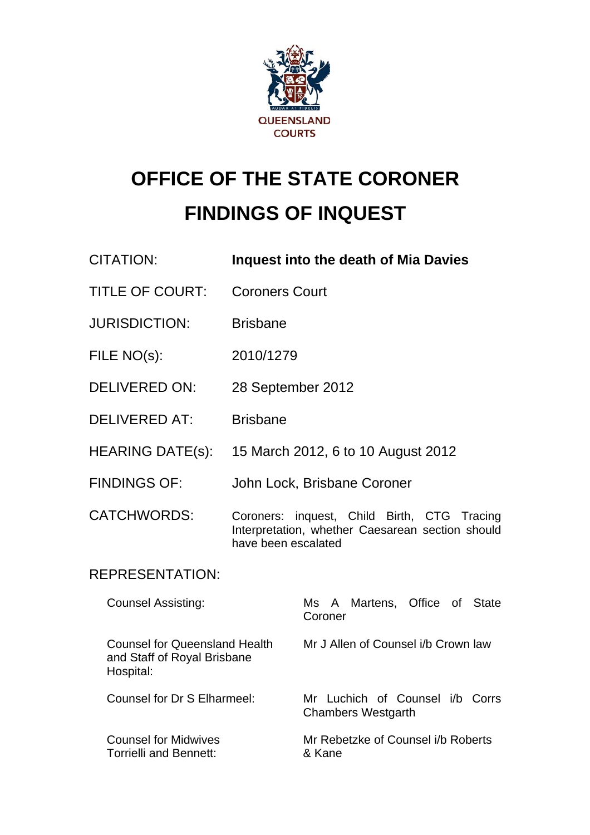

# **OFFICE OF THE STATE CORONER FINDINGS OF INQUEST**

- CITATION: **Inquest into the death of Mia Davies**
- TITLE OF COURT: Coroners Court
- JURISDICTION: Brisbane
- FILE NO(s): 2010/1279
- DELIVERED ON: 28 September 2012
- DELIVERED AT: Brisbane
- HEARING DATE(s): 15 March 2012, 6 to 10 August 2012
- FINDINGS OF: John Lock, Brisbane Coroner
- CATCHWORDS: Coroners: inquest, Child Birth, CTG Tracing Interpretation, whether Caesarean section should have been escalated

# REPRESENTATION:

| <b>Counsel Assisting:</b>                                                 | Ms A Martens, Office of State<br>Coroner              |
|---------------------------------------------------------------------------|-------------------------------------------------------|
| Counsel for Queensland Health<br>and Staff of Royal Brisbane<br>Hospital: | Mr J Allen of Counsel i/b Crown law                   |
| Counsel for Dr S Elharmeel:                                               | Mr Luchich of Counsel i/b Corrs<br>Chambers Westgarth |
| <b>Counsel for Midwives</b><br>Torrielli and Bennett:                     | Mr Rebetzke of Counsel i/b Roberts<br>& Kane          |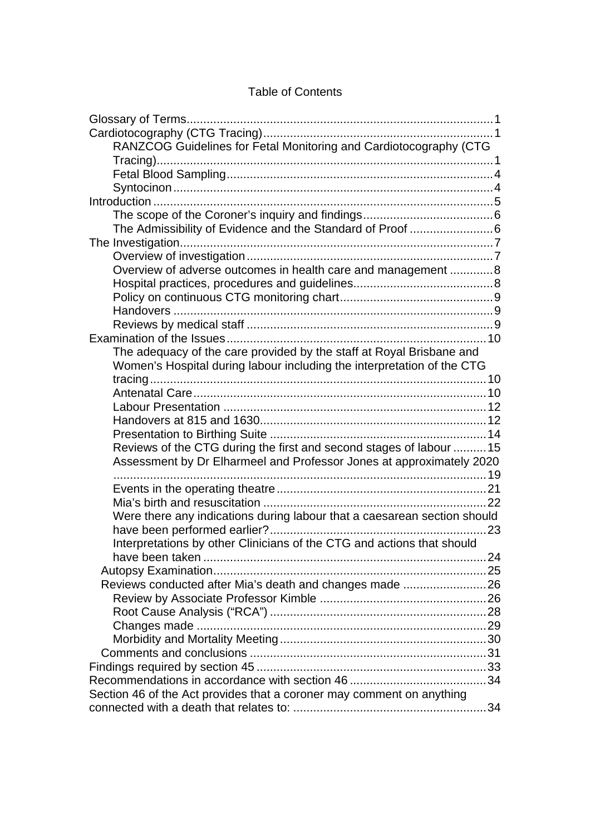## Table of Contents

| RANZCOG Guidelines for Fetal Monitoring and Cardiotocography (CTG        |  |
|--------------------------------------------------------------------------|--|
|                                                                          |  |
|                                                                          |  |
|                                                                          |  |
|                                                                          |  |
|                                                                          |  |
| The Admissibility of Evidence and the Standard of Proof 6                |  |
|                                                                          |  |
|                                                                          |  |
|                                                                          |  |
| Overview of adverse outcomes in health care and management 8             |  |
|                                                                          |  |
|                                                                          |  |
|                                                                          |  |
|                                                                          |  |
|                                                                          |  |
| The adequacy of the care provided by the staff at Royal Brisbane and     |  |
| Women's Hospital during labour including the interpretation of the CTG   |  |
|                                                                          |  |
|                                                                          |  |
|                                                                          |  |
|                                                                          |  |
|                                                                          |  |
| Reviews of the CTG during the first and second stages of labour  15      |  |
| Assessment by Dr Elharmeel and Professor Jones at approximately 2020     |  |
|                                                                          |  |
|                                                                          |  |
|                                                                          |  |
| Were there any indications during labour that a caesarean section should |  |
|                                                                          |  |
| Interpretations by other Clinicians of the CTG and actions that should   |  |
|                                                                          |  |
|                                                                          |  |
| Reviews conducted after Mia's death and changes made 26                  |  |
|                                                                          |  |
|                                                                          |  |
|                                                                          |  |
|                                                                          |  |
|                                                                          |  |
|                                                                          |  |
|                                                                          |  |
|                                                                          |  |
| Section 46 of the Act provides that a coroner may comment on anything    |  |
|                                                                          |  |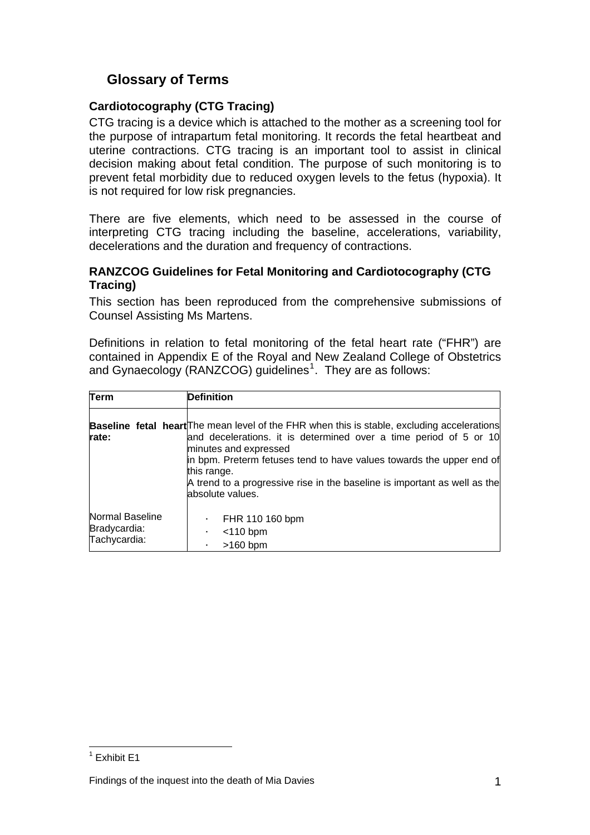# <span id="page-2-0"></span>**Glossary of Terms**

## **Cardiotocography (CTG Tracing)**

CTG tracing is a device which is attached to the mother as a screening tool for the purpose of intrapartum fetal monitoring. It records the fetal heartbeat and uterine contractions. CTG tracing is an important tool to assist in clinical decision making about fetal condition. The purpose of such monitoring is to prevent fetal morbidity due to reduced oxygen levels to the fetus (hypoxia). It is not required for low risk pregnancies.

There are five elements, which need to be assessed in the course of interpreting CTG tracing including the baseline, accelerations, variability, decelerations and the duration and frequency of contractions.

### **RANZCOG Guidelines for Fetal Monitoring and Cardiotocography (CTG Tracing)**

This section has been reproduced from the comprehensive submissions of Counsel Assisting Ms Martens.

Definitions in relation to fetal monitoring of the fetal heart rate ("FHR") are contained in Appendix E of the Royal and New Zealand College of Obstetrics and Gynaecology (RANZCOG) guidelines<sup>[1](#page-2-1)</sup>. They are as follows:

| Term                                            | <b>Definition</b>                                                                                                                                                                                                                                                                                                                                                                        |  |
|-------------------------------------------------|------------------------------------------------------------------------------------------------------------------------------------------------------------------------------------------------------------------------------------------------------------------------------------------------------------------------------------------------------------------------------------------|--|
| rate:                                           | <b>Baseline fetal heart</b> The mean level of the FHR when this is stable, excluding accelerations<br>and decelerations. it is determined over a time period of 5 or 10<br>minutes and expressed<br>in bpm. Preterm fetuses tend to have values towards the upper end of<br>this range.<br>A trend to a progressive rise in the baseline is important as well as the<br>absolute values. |  |
| Normal Baseline<br>Bradycardia:<br>Tachycardia: | FHR 110 160 bpm<br>٠<br>$<$ 110 bpm<br>$\blacksquare$<br>$>160$ bpm<br>$\blacksquare$                                                                                                                                                                                                                                                                                                    |  |

<span id="page-2-1"></span> 1 Exhibit E1

Findings of the inquest into the death of Mia Davies 1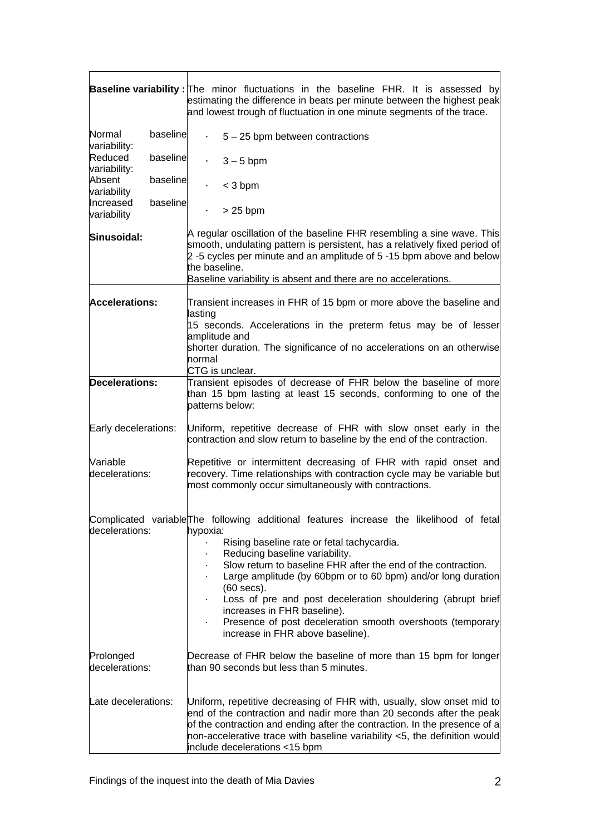|                             |          | <b>Baseline variability:</b> The minor fluctuations in the baseline FHR. It is assessed by<br>estimating the difference in beats per minute between the highest peak<br>and lowest trough of fluctuation in one minute segments of the trace.                                                                                                                                                                                                                                                                                        |
|-----------------------------|----------|--------------------------------------------------------------------------------------------------------------------------------------------------------------------------------------------------------------------------------------------------------------------------------------------------------------------------------------------------------------------------------------------------------------------------------------------------------------------------------------------------------------------------------------|
| Normal<br>variability:      | baseline | $5 - 25$ bpm between contractions<br>×,                                                                                                                                                                                                                                                                                                                                                                                                                                                                                              |
| Reduced<br>variability:     | baseline | $3 - 5$ bpm                                                                                                                                                                                                                                                                                                                                                                                                                                                                                                                          |
| Absent<br>variability       | baseline | $<$ 3 bpm                                                                                                                                                                                                                                                                                                                                                                                                                                                                                                                            |
| Increased<br>variability    | baseline | $>25$ bpm                                                                                                                                                                                                                                                                                                                                                                                                                                                                                                                            |
| Sinusoidal:                 |          | A regular oscillation of the baseline FHR resembling a sine wave. This<br>smooth, undulating pattern is persistent, has a relatively fixed period of<br>2-5 cycles per minute and an amplitude of 5-15 bpm above and below<br>the baseline.<br>Baseline variability is absent and there are no accelerations.                                                                                                                                                                                                                        |
| <b>Accelerations:</b>       |          | Transient increases in FHR of 15 bpm or more above the baseline and<br>lasting<br>15 seconds. Accelerations in the preterm fetus may be of lesser                                                                                                                                                                                                                                                                                                                                                                                    |
|                             |          | amplitude and<br>shorter duration. The significance of no accelerations on an otherwise<br>normal<br>CTG is unclear.                                                                                                                                                                                                                                                                                                                                                                                                                 |
| Decelerations:              |          | Transient episodes of decrease of FHR below the baseline of more<br>than 15 bpm lasting at least 15 seconds, conforming to one of the<br>patterns below:                                                                                                                                                                                                                                                                                                                                                                             |
| Early decelerations:        |          | Uniform, repetitive decrease of FHR with slow onset early in the<br>contraction and slow return to baseline by the end of the contraction.                                                                                                                                                                                                                                                                                                                                                                                           |
| Variable<br>decelerations:  |          | Repetitive or intermittent decreasing of FHR with rapid onset and<br>recovery. Time relationships with contraction cycle may be variable but<br>most commonly occur simultaneously with contractions.                                                                                                                                                                                                                                                                                                                                |
| decelerations:              |          | Complicated variable The following additional features increase the likelihood of fetal<br>hypoxia:<br>Rising baseline rate or fetal tachycardia.<br>Reducing baseline variability.<br>Slow return to baseline FHR after the end of the contraction.<br>Large amplitude (by 60bpm or to 60 bpm) and/or long duration<br>$(60$ secs).<br>Loss of pre and post deceleration shouldering (abrupt brief<br>increases in FHR baseline).<br>Presence of post deceleration smooth overshoots (temporary<br>increase in FHR above baseline). |
| Prolonged<br>decelerations: |          | Decrease of FHR below the baseline of more than 15 bpm for longer<br>than 90 seconds but less than 5 minutes.                                                                                                                                                                                                                                                                                                                                                                                                                        |
| Late decelerations:         |          | Uniform, repetitive decreasing of FHR with, usually, slow onset mid to<br>end of the contraction and nadir more than 20 seconds after the peak<br>of the contraction and ending after the contraction. In the presence of a<br>non-accelerative trace with baseline variability <5, the definition would<br>include decelerations <15 bpm                                                                                                                                                                                            |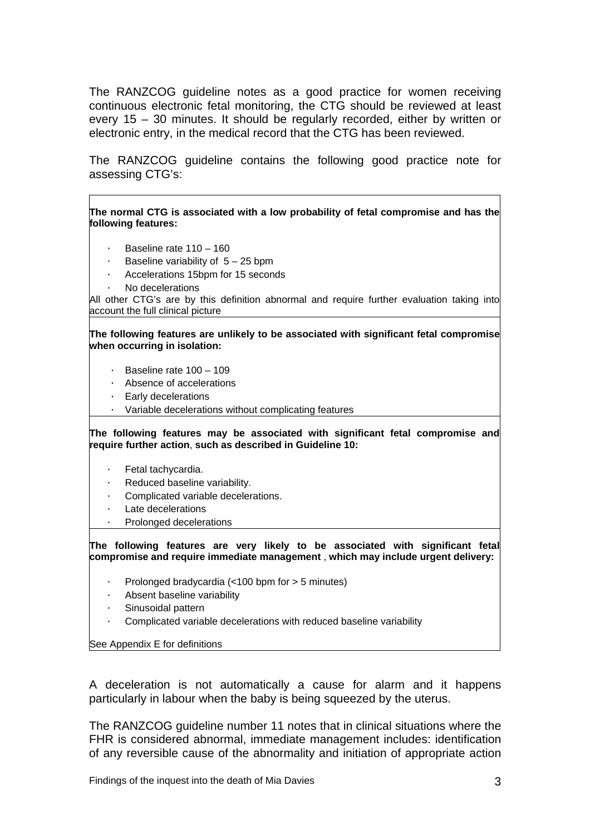The RANZCOG guideline notes as a good practice for women receiving continuous electronic fetal monitoring, the CTG should be reviewed at least every 15 – 30 minutes. It should be regularly recorded, either by written or electronic entry, in the medical record that the CTG has been reviewed.

The RANZCOG guideline contains the following good practice note for assessing CTG's:

**The normal CTG is associated with a low probability of fetal compromise and has the following features:**

- · Baseline rate 110 160
- Baseline variability of  $5 25$  bpm
- Accelerations 15bpm for 15 seconds
- No decelerations

All other CTG's are by this definition abnormal and require further evaluation taking into account the full clinical picture

**The following features are unlikely to be associated with significant fetal compromise when occurring in isolation:** 

- · Baseline rate 100 109
- · Absence of accelerations
- · Early decelerations
- · Variable decelerations without complicating features

**The following features may be associated with significant fetal compromise and require further action**, **such as described in Guideline 10:** 

- · Fetal tachycardia.
- Reduced baseline variability.
- Complicated variable decelerations.
- Late decelerations
- Prolonged decelerations

**The following features are very likely to be associated with significant fetal compromise and require immediate management** , **which may include urgent delivery:**

- · Prolonged bradycardia (<100 bpm for > 5 minutes)
- Absent baseline variability
- Sinusoidal pattern
- Complicated variable decelerations with reduced baseline variability

See Appendix E for definitions

A deceleration is not automatically a cause for alarm and it happens particularly in labour when the baby is being squeezed by the uterus.

The RANZCOG guideline number 11 notes that in clinical situations where the FHR is considered abnormal, immediate management includes: identification of any reversible cause of the abnormality and initiation of appropriate action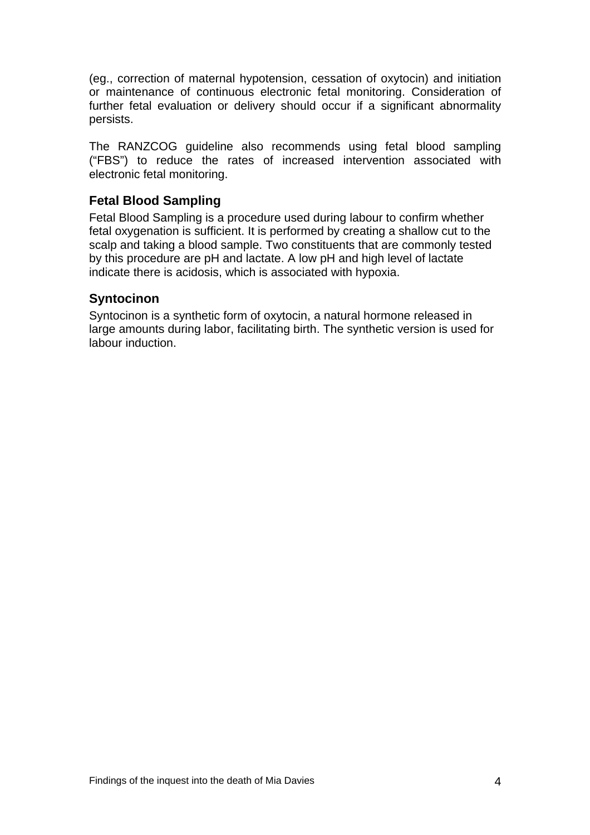<span id="page-5-0"></span>(eg., correction of maternal hypotension, cessation of oxytocin) and initiation or maintenance of continuous electronic fetal monitoring. Consideration of further fetal evaluation or delivery should occur if a significant abnormality persists.

The RANZCOG guideline also recommends using fetal blood sampling ("FBS") to reduce the rates of increased intervention associated with electronic fetal monitoring.

## **Fetal Blood Sampling**

Fetal Blood Sampling is a procedure used during labour to confirm whether fetal oxygenation is sufficient. It is performed by creating a shallow cut to the scalp and taking a blood sample. Two constituents that are commonly tested by this procedure are pH and lactate. A low pH and high level of lactate indicate there is acidosis, which is associated with hypoxia.

## **Syntocinon**

Syntocinon is a synthetic form of oxytocin, a natural hormone released in large amounts during labor, facilitating birth. The synthetic version is used for labour induction.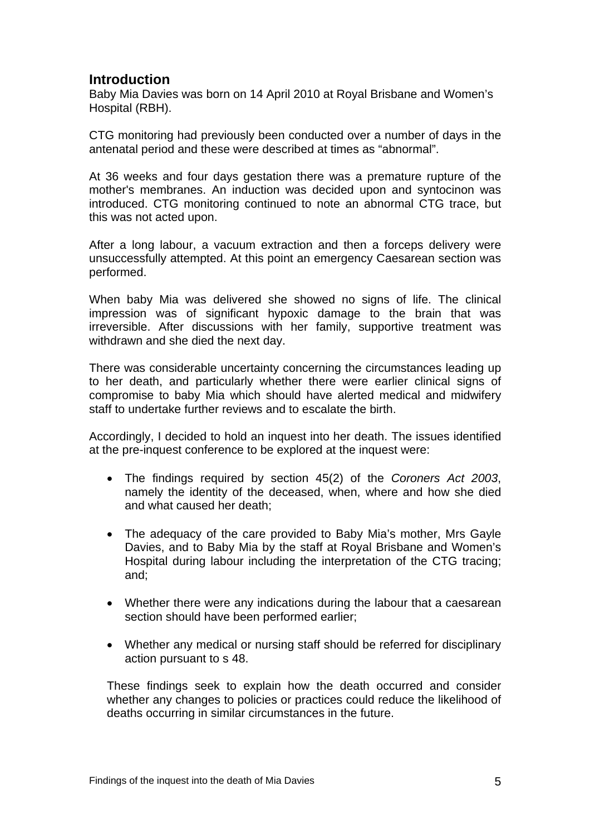## <span id="page-6-0"></span>**Introduction**

Baby Mia Davies was born on 14 April 2010 at Royal Brisbane and Women's Hospital (RBH).

CTG monitoring had previously been conducted over a number of days in the antenatal period and these were described at times as "abnormal".

At 36 weeks and four days gestation there was a premature rupture of the mother's membranes. An induction was decided upon and syntocinon was introduced. CTG monitoring continued to note an abnormal CTG trace, but this was not acted upon.

After a long labour, a vacuum extraction and then a forceps delivery were unsuccessfully attempted. At this point an emergency Caesarean section was performed.

When baby Mia was delivered she showed no signs of life. The clinical impression was of significant hypoxic damage to the brain that was irreversible. After discussions with her family, supportive treatment was withdrawn and she died the next day.

There was considerable uncertainty concerning the circumstances leading up to her death, and particularly whether there were earlier clinical signs of compromise to baby Mia which should have alerted medical and midwifery staff to undertake further reviews and to escalate the birth.

Accordingly, I decided to hold an inquest into her death. The issues identified at the pre-inquest conference to be explored at the inquest were:

- The findings required by section 45(2) of the *Coroners Act 2003*, namely the identity of the deceased, when, where and how she died and what caused her death;
- The adequacy of the care provided to Baby Mia's mother, Mrs Gayle Davies, and to Baby Mia by the staff at Royal Brisbane and Women's Hospital during labour including the interpretation of the CTG tracing; and;
- Whether there were any indications during the labour that a caesarean section should have been performed earlier;
- Whether any medical or nursing staff should be referred for disciplinary action pursuant to s 48.

These findings seek to explain how the death occurred and consider whether any changes to policies or practices could reduce the likelihood of deaths occurring in similar circumstances in the future.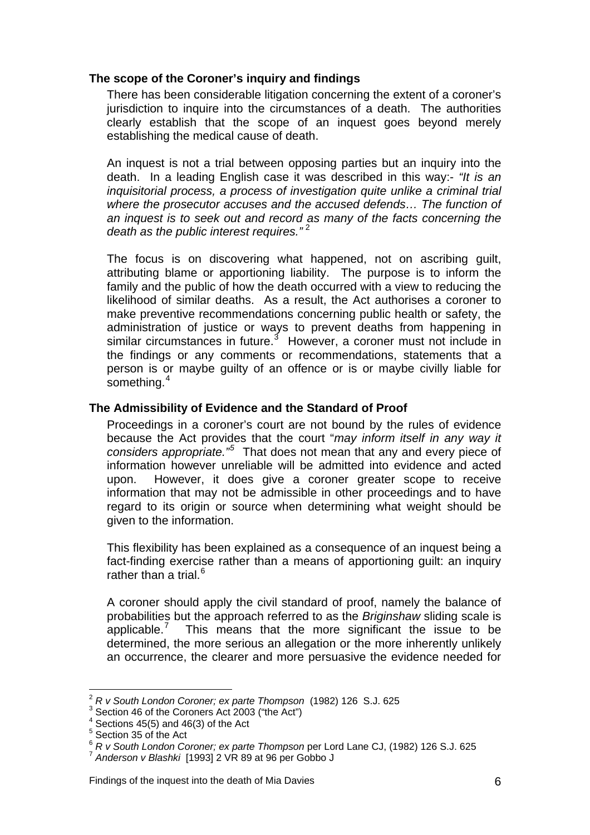### <span id="page-7-0"></span>**The scope of the Coroner's inquiry and findings**

There has been considerable litigation concerning the extent of a coroner's jurisdiction to inquire into the circumstances of a death. The authorities clearly establish that the scope of an inquest goes beyond merely establishing the medical cause of death.

An inquest is not a trial between opposing parties but an inquiry into the death. In a leading English case it was described in this way:- *"It is an inquisitorial process, a process of investigation quite unlike a criminal trial where the prosecutor accuses and the accused defends… The function of an inquest is to seek out and record as many of the facts concerning the death as the public interest requires.*"<sup>[2](#page-7-1)</sup>

The focus is on discovering what happened, not on ascribing guilt, attributing blame or apportioning liability. The purpose is to inform the family and the public of how the death occurred with a view to reducing the likelihood of similar deaths. As a result, the Act authorises a coroner to make preventive recommendations concerning public health or safety, the administration of justice or ways to prevent deaths from happening in similar circumstances in future.<sup>[3](#page-7-2)</sup> However, a coroner must not include in the findings or any comments or recommendations, statements that a person is or maybe guilty of an offence or is or maybe civilly liable for something.<sup>[4](#page-7-3)</sup>

#### **The Admissibility of Evidence and the Standard of Proof**

Proceedings in a coroner's court are not bound by the rules of evidence because the Act provides that the court "*may inform itself in any way it considers appropriate."[5](#page-7-4)* That does not mean that any and every piece of information however unreliable will be admitted into evidence and acted upon. However, it does give a coroner greater scope to receive information that may not be admissible in other proceedings and to have regard to its origin or source when determining what weight should be given to the information.

This flexibility has been explained as a consequence of an inquest being a fact-finding exercise rather than a means of apportioning guilt: an inquiry rather than a trial. $6$ 

A coroner should apply the civil standard of proof, namely the balance of probabilities but the approach referred to as the *Briginshaw* sliding scale is applicable.<sup>[7](#page-7-6)</sup> This means that the more significant the issue to be determined, the more serious an allegation or the more inherently unlikely an occurrence, the clearer and more persuasive the evidence needed for

l <sup>2</sup> R v South London Coroner; ex parte Thompson (1982) 126 S.J. 625

<span id="page-7-2"></span><span id="page-7-1"></span> $3$  Section 46 of the Coroners Act 2003 ("the Act")

<span id="page-7-3"></span> $4$  Sections 45(5) and 46(3) of the Act

<span id="page-7-4"></span><sup>&</sup>lt;sup>5</sup> Section 35 of the Act

<span id="page-7-5"></span><sup>&</sup>lt;sup>6</sup> *R v South London Coroner; ex parte Thompson* per Lord Lane CJ, (1982) 126 S.J. 625<br><sup>7</sup> Anderson v Blashki [1993] 2 VR 89 at 96 per Gobbo J

<span id="page-7-6"></span>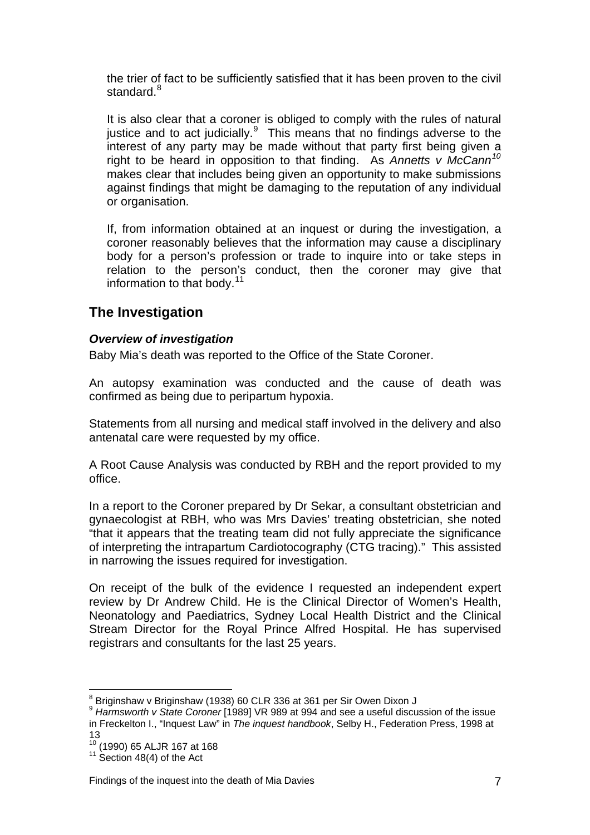<span id="page-8-0"></span>the trier of fact to be sufficiently satisfied that it has been proven to the civil standard. $^8$  $^8$ 

It is also clear that a coroner is obliged to comply with the rules of natural justice and to act judicially. $9$  This means that no findings adverse to the interest of any party may be made without that party first being given a right to be heard in opposition to that finding. As *Annetts v McCann[10](#page-8-3)* makes clear that includes being given an opportunity to make submissions against findings that might be damaging to the reputation of any individual or organisation.

If, from information obtained at an inquest or during the investigation, a coroner reasonably believes that the information may cause a disciplinary body for a person's profession or trade to inquire into or take steps in relation to the person's conduct, then the coroner may give that information to that body. $11$ 

# **The Investigation**

## *Overview of investigation*

Baby Mia's death was reported to the Office of the State Coroner.

An autopsy examination was conducted and the cause of death was confirmed as being due to peripartum hypoxia.

Statements from all nursing and medical staff involved in the delivery and also antenatal care were requested by my office.

A Root Cause Analysis was conducted by RBH and the report provided to my office.

In a report to the Coroner prepared by Dr Sekar, a consultant obstetrician and gynaecologist at RBH, who was Mrs Davies' treating obstetrician, she noted "that it appears that the treating team did not fully appreciate the significance of interpreting the intrapartum Cardiotocography (CTG tracing)." This assisted in narrowing the issues required for investigation.

On receipt of the bulk of the evidence I requested an independent expert review by Dr Andrew Child. He is the Clinical Director of Women's Health, Neonatology and Paediatrics, Sydney Local Health District and the Clinical Stream Director for the Royal Prince Alfred Hospital. He has supervised registrars and consultants for the last 25 years.

Findings of the inquest into the death of Mia Davies 7

l <sup>8</sup> Briginshaw v Briginshaw (1938) 60 CLR 336 at 361 per Sir Owen Dixon J

<span id="page-8-2"></span><span id="page-8-1"></span><sup>9</sup> *Harmsworth v State Coroner* [1989] VR 989 at 994 and see a useful discussion of the issue in Freckelton I., "Inquest Law" in *The inquest handbook*, Selby H., Federation Press, 1998 at

<sup>13&</sup>lt;br><sup>10</sup> (1990) 65 ALJR 167 at 168

<span id="page-8-4"></span><span id="page-8-3"></span> $11$  Section 48(4) of the Act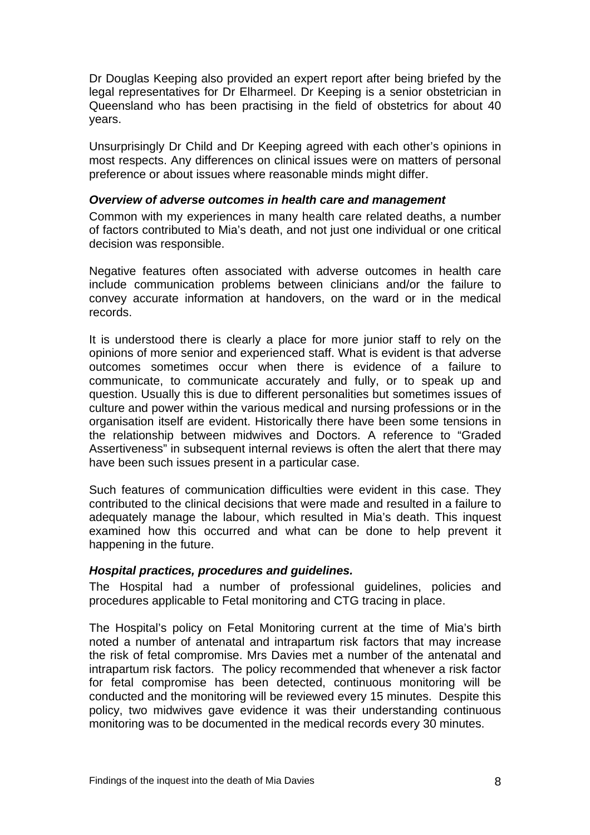<span id="page-9-0"></span>Dr Douglas Keeping also provided an expert report after being briefed by the legal representatives for Dr Elharmeel. Dr Keeping is a senior obstetrician in Queensland who has been practising in the field of obstetrics for about 40 years.

Unsurprisingly Dr Child and Dr Keeping agreed with each other's opinions in most respects. Any differences on clinical issues were on matters of personal preference or about issues where reasonable minds might differ.

#### *Overview of adverse outcomes in health care and management*

Common with my experiences in many health care related deaths, a number of factors contributed to Mia's death, and not just one individual or one critical decision was responsible.

Negative features often associated with adverse outcomes in health care include communication problems between clinicians and/or the failure to convey accurate information at handovers, on the ward or in the medical records.

It is understood there is clearly a place for more junior staff to rely on the opinions of more senior and experienced staff. What is evident is that adverse outcomes sometimes occur when there is evidence of a failure to communicate, to communicate accurately and fully, or to speak up and question. Usually this is due to different personalities but sometimes issues of culture and power within the various medical and nursing professions or in the organisation itself are evident. Historically there have been some tensions in the relationship between midwives and Doctors. A reference to "Graded Assertiveness" in subsequent internal reviews is often the alert that there may have been such issues present in a particular case.

Such features of communication difficulties were evident in this case. They contributed to the clinical decisions that were made and resulted in a failure to adequately manage the labour, which resulted in Mia's death. This inquest examined how this occurred and what can be done to help prevent it happening in the future.

#### *Hospital practices, procedures and guidelines.*

The Hospital had a number of professional guidelines, policies and procedures applicable to Fetal monitoring and CTG tracing in place.

The Hospital's policy on Fetal Monitoring current at the time of Mia's birth noted a number of antenatal and intrapartum risk factors that may increase the risk of fetal compromise. Mrs Davies met a number of the antenatal and intrapartum risk factors. The policy recommended that whenever a risk factor for fetal compromise has been detected, continuous monitoring will be conducted and the monitoring will be reviewed every 15 minutes. Despite this policy, two midwives gave evidence it was their understanding continuous monitoring was to be documented in the medical records every 30 minutes.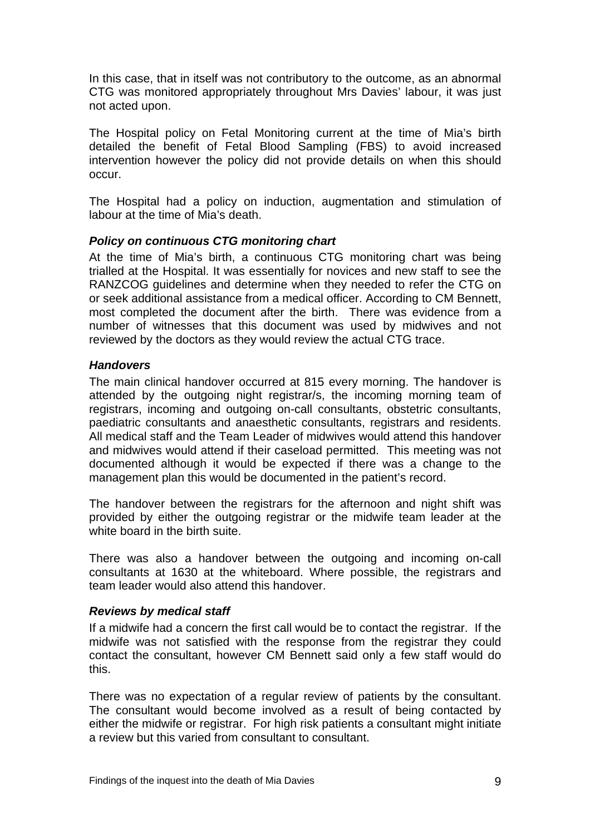<span id="page-10-0"></span>In this case, that in itself was not contributory to the outcome, as an abnormal CTG was monitored appropriately throughout Mrs Davies' labour, it was just not acted upon.

The Hospital policy on Fetal Monitoring current at the time of Mia's birth detailed the benefit of Fetal Blood Sampling (FBS) to avoid increased intervention however the policy did not provide details on when this should occur.

The Hospital had a policy on induction, augmentation and stimulation of labour at the time of Mia's death.

#### *Policy on continuous CTG monitoring chart*

At the time of Mia's birth, a continuous CTG monitoring chart was being trialled at the Hospital. It was essentially for novices and new staff to see the RANZCOG guidelines and determine when they needed to refer the CTG on or seek additional assistance from a medical officer. According to CM Bennett, most completed the document after the birth. There was evidence from a number of witnesses that this document was used by midwives and not reviewed by the doctors as they would review the actual CTG trace.

#### *Handovers*

The main clinical handover occurred at 815 every morning. The handover is attended by the outgoing night registrar/s, the incoming morning team of registrars, incoming and outgoing on-call consultants, obstetric consultants, paediatric consultants and anaesthetic consultants, registrars and residents. All medical staff and the Team Leader of midwives would attend this handover and midwives would attend if their caseload permitted. This meeting was not documented although it would be expected if there was a change to the management plan this would be documented in the patient's record.

The handover between the registrars for the afternoon and night shift was provided by either the outgoing registrar or the midwife team leader at the white board in the birth suite.

There was also a handover between the outgoing and incoming on-call consultants at 1630 at the whiteboard. Where possible, the registrars and team leader would also attend this handover.

#### *Reviews by medical staff*

If a midwife had a concern the first call would be to contact the registrar. If the midwife was not satisfied with the response from the registrar they could contact the consultant, however CM Bennett said only a few staff would do this.

There was no expectation of a regular review of patients by the consultant. The consultant would become involved as a result of being contacted by either the midwife or registrar. For high risk patients a consultant might initiate a review but this varied from consultant to consultant.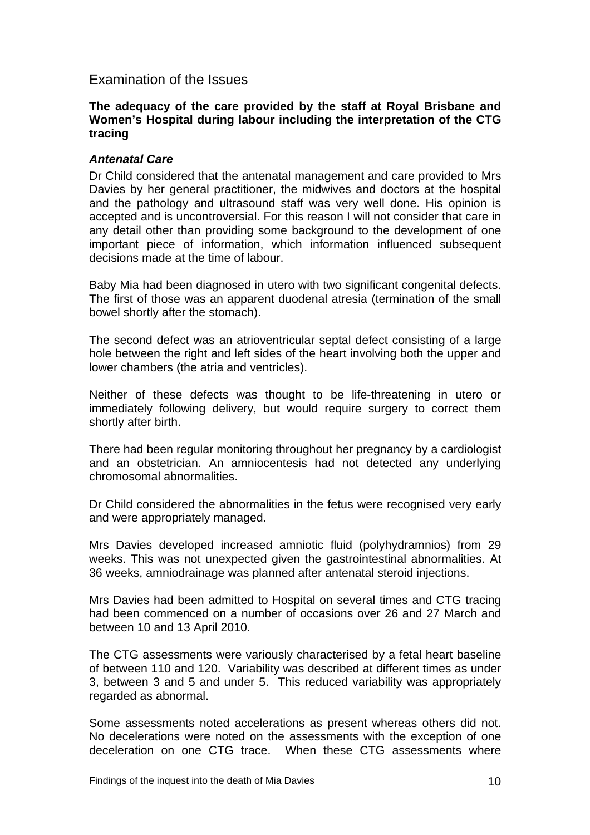## <span id="page-11-0"></span>Examination of the Issues

#### **The adequacy of the care provided by the staff at Royal Brisbane and Women's Hospital during labour including the interpretation of the CTG tracing**

#### *Antenatal Care*

Dr Child considered that the antenatal management and care provided to Mrs Davies by her general practitioner, the midwives and doctors at the hospital and the pathology and ultrasound staff was very well done. His opinion is accepted and is uncontroversial. For this reason I will not consider that care in any detail other than providing some background to the development of one important piece of information, which information influenced subsequent decisions made at the time of labour.

Baby Mia had been diagnosed in utero with two significant congenital defects. The first of those was an apparent duodenal atresia (termination of the small bowel shortly after the stomach).

The second defect was an atrioventricular septal defect consisting of a large hole between the right and left sides of the heart involving both the upper and lower chambers (the atria and ventricles).

Neither of these defects was thought to be life-threatening in utero or immediately following delivery, but would require surgery to correct them shortly after birth.

There had been regular monitoring throughout her pregnancy by a cardiologist and an obstetrician. An amniocentesis had not detected any underlying chromosomal abnormalities.

Dr Child considered the abnormalities in the fetus were recognised very early and were appropriately managed.

Mrs Davies developed increased amniotic fluid (polyhydramnios) from 29 weeks. This was not unexpected given the gastrointestinal abnormalities. At 36 weeks, amniodrainage was planned after antenatal steroid injections.

Mrs Davies had been admitted to Hospital on several times and CTG tracing had been commenced on a number of occasions over 26 and 27 March and between 10 and 13 April 2010.

The CTG assessments were variously characterised by a fetal heart baseline of between 110 and 120. Variability was described at different times as under 3, between 3 and 5 and under 5. This reduced variability was appropriately regarded as abnormal.

Some assessments noted accelerations as present whereas others did not. No decelerations were noted on the assessments with the exception of one deceleration on one CTG trace. When these CTG assessments where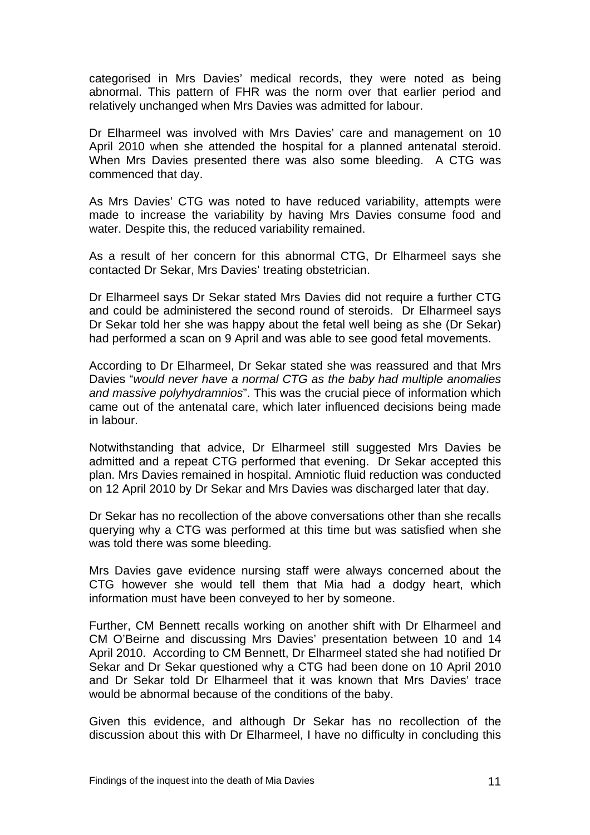categorised in Mrs Davies' medical records, they were noted as being abnormal. This pattern of FHR was the norm over that earlier period and relatively unchanged when Mrs Davies was admitted for labour.

Dr Elharmeel was involved with Mrs Davies' care and management on 10 April 2010 when she attended the hospital for a planned antenatal steroid. When Mrs Davies presented there was also some bleeding. A CTG was commenced that day.

As Mrs Davies' CTG was noted to have reduced variability, attempts were made to increase the variability by having Mrs Davies consume food and water. Despite this, the reduced variability remained.

As a result of her concern for this abnormal CTG, Dr Elharmeel says she contacted Dr Sekar, Mrs Davies' treating obstetrician.

Dr Elharmeel says Dr Sekar stated Mrs Davies did not require a further CTG and could be administered the second round of steroids. Dr Elharmeel says Dr Sekar told her she was happy about the fetal well being as she (Dr Sekar) had performed a scan on 9 April and was able to see good fetal movements.

According to Dr Elharmeel, Dr Sekar stated she was reassured and that Mrs Davies "*would never have a normal CTG as the baby had multiple anomalies and massive polyhydramnios*". This was the crucial piece of information which came out of the antenatal care, which later influenced decisions being made in labour.

Notwithstanding that advice, Dr Elharmeel still suggested Mrs Davies be admitted and a repeat CTG performed that evening. Dr Sekar accepted this plan. Mrs Davies remained in hospital. Amniotic fluid reduction was conducted on 12 April 2010 by Dr Sekar and Mrs Davies was discharged later that day.

Dr Sekar has no recollection of the above conversations other than she recalls querying why a CTG was performed at this time but was satisfied when she was told there was some bleeding.

Mrs Davies gave evidence nursing staff were always concerned about the CTG however she would tell them that Mia had a dodgy heart, which information must have been conveyed to her by someone.

Further, CM Bennett recalls working on another shift with Dr Elharmeel and CM O'Beirne and discussing Mrs Davies' presentation between 10 and 14 April 2010. According to CM Bennett, Dr Elharmeel stated she had notified Dr Sekar and Dr Sekar questioned why a CTG had been done on 10 April 2010 and Dr Sekar told Dr Elharmeel that it was known that Mrs Davies' trace would be abnormal because of the conditions of the baby.

Given this evidence, and although Dr Sekar has no recollection of the discussion about this with Dr Elharmeel, I have no difficulty in concluding this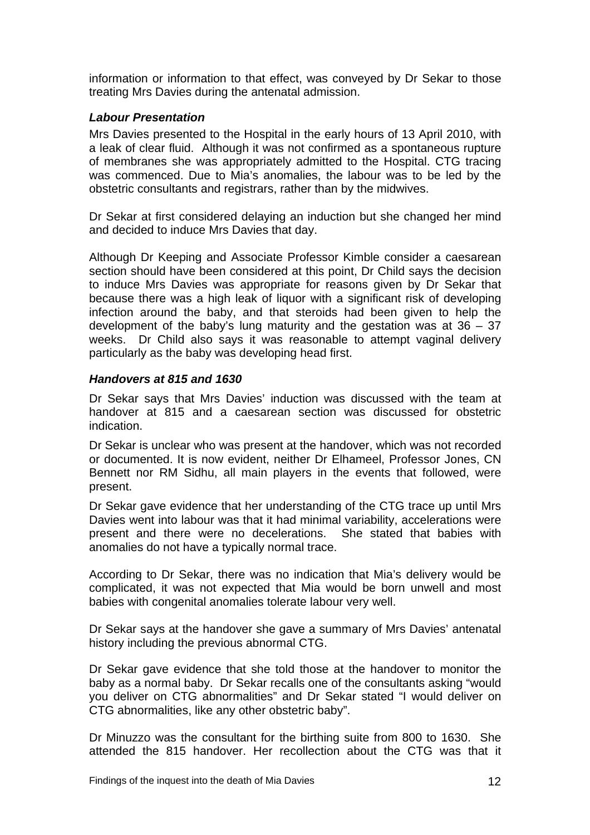<span id="page-13-0"></span>information or information to that effect, was conveyed by Dr Sekar to those treating Mrs Davies during the antenatal admission.

### *Labour Presentation*

Mrs Davies presented to the Hospital in the early hours of 13 April 2010, with a leak of clear fluid. Although it was not confirmed as a spontaneous rupture of membranes she was appropriately admitted to the Hospital. CTG tracing was commenced. Due to Mia's anomalies, the labour was to be led by the obstetric consultants and registrars, rather than by the midwives.

Dr Sekar at first considered delaying an induction but she changed her mind and decided to induce Mrs Davies that day.

Although Dr Keeping and Associate Professor Kimble consider a caesarean section should have been considered at this point, Dr Child says the decision to induce Mrs Davies was appropriate for reasons given by Dr Sekar that because there was a high leak of liquor with a significant risk of developing infection around the baby, and that steroids had been given to help the development of the baby's lung maturity and the gestation was at  $36 - 37$ weeks. Dr Child also says it was reasonable to attempt vaginal delivery particularly as the baby was developing head first.

#### *Handovers at 815 and 1630*

Dr Sekar says that Mrs Davies' induction was discussed with the team at handover at 815 and a caesarean section was discussed for obstetric indication.

Dr Sekar is unclear who was present at the handover, which was not recorded or documented. It is now evident, neither Dr Elhameel, Professor Jones, CN Bennett nor RM Sidhu, all main players in the events that followed, were present.

Dr Sekar gave evidence that her understanding of the CTG trace up until Mrs Davies went into labour was that it had minimal variability, accelerations were present and there were no decelerations. She stated that babies with anomalies do not have a typically normal trace.

According to Dr Sekar, there was no indication that Mia's delivery would be complicated, it was not expected that Mia would be born unwell and most babies with congenital anomalies tolerate labour very well.

Dr Sekar says at the handover she gave a summary of Mrs Davies' antenatal history including the previous abnormal CTG.

Dr Sekar gave evidence that she told those at the handover to monitor the baby as a normal baby. Dr Sekar recalls one of the consultants asking "would you deliver on CTG abnormalities" and Dr Sekar stated "I would deliver on CTG abnormalities, like any other obstetric baby".

Dr Minuzzo was the consultant for the birthing suite from 800 to 1630. She attended the 815 handover. Her recollection about the CTG was that it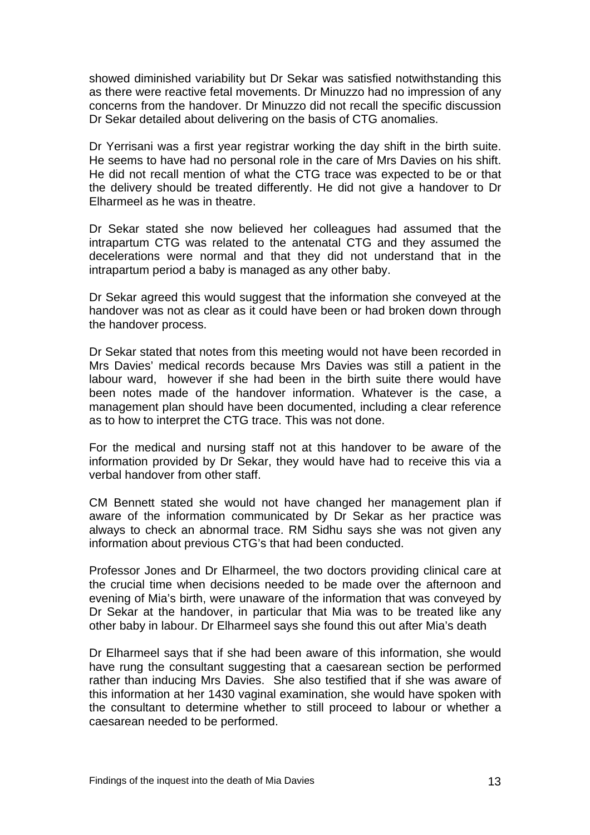showed diminished variability but Dr Sekar was satisfied notwithstanding this as there were reactive fetal movements. Dr Minuzzo had no impression of any concerns from the handover. Dr Minuzzo did not recall the specific discussion Dr Sekar detailed about delivering on the basis of CTG anomalies.

Dr Yerrisani was a first year registrar working the day shift in the birth suite. He seems to have had no personal role in the care of Mrs Davies on his shift. He did not recall mention of what the CTG trace was expected to be or that the delivery should be treated differently. He did not give a handover to Dr Elharmeel as he was in theatre.

Dr Sekar stated she now believed her colleagues had assumed that the intrapartum CTG was related to the antenatal CTG and they assumed the decelerations were normal and that they did not understand that in the intrapartum period a baby is managed as any other baby.

Dr Sekar agreed this would suggest that the information she conveyed at the handover was not as clear as it could have been or had broken down through the handover process.

Dr Sekar stated that notes from this meeting would not have been recorded in Mrs Davies' medical records because Mrs Davies was still a patient in the labour ward, however if she had been in the birth suite there would have been notes made of the handover information. Whatever is the case, a management plan should have been documented, including a clear reference as to how to interpret the CTG trace. This was not done.

For the medical and nursing staff not at this handover to be aware of the information provided by Dr Sekar, they would have had to receive this via a verbal handover from other staff.

CM Bennett stated she would not have changed her management plan if aware of the information communicated by Dr Sekar as her practice was always to check an abnormal trace. RM Sidhu says she was not given any information about previous CTG's that had been conducted.

Professor Jones and Dr Elharmeel, the two doctors providing clinical care at the crucial time when decisions needed to be made over the afternoon and evening of Mia's birth, were unaware of the information that was conveyed by Dr Sekar at the handover, in particular that Mia was to be treated like any other baby in labour. Dr Elharmeel says she found this out after Mia's death

Dr Elharmeel says that if she had been aware of this information, she would have rung the consultant suggesting that a caesarean section be performed rather than inducing Mrs Davies. She also testified that if she was aware of this information at her 1430 vaginal examination, she would have spoken with the consultant to determine whether to still proceed to labour or whether a caesarean needed to be performed.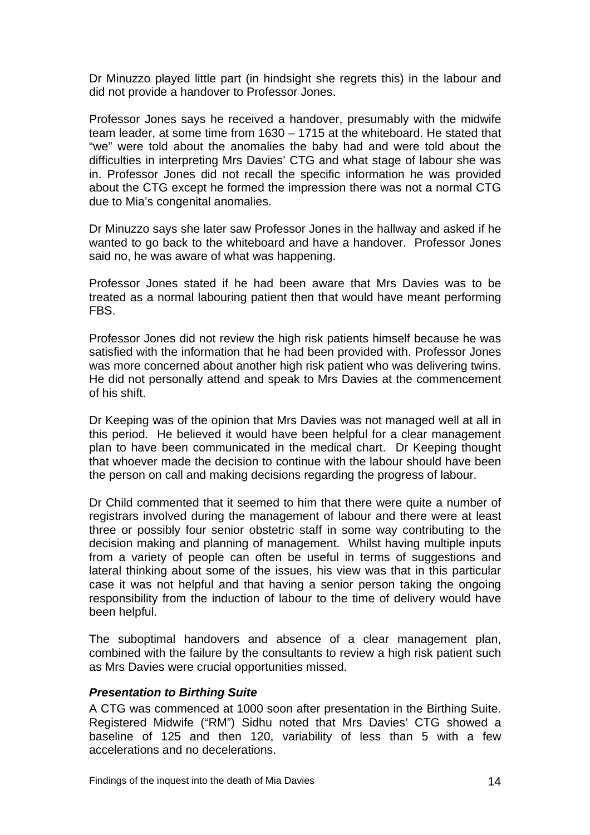<span id="page-15-0"></span>Dr Minuzzo played little part (in hindsight she regrets this) in the labour and did not provide a handover to Professor Jones.

Professor Jones says he received a handover, presumably with the midwife team leader, at some time from 1630 – 1715 at the whiteboard. He stated that "we" were told about the anomalies the baby had and were told about the difficulties in interpreting Mrs Davies' CTG and what stage of labour she was in. Professor Jones did not recall the specific information he was provided about the CTG except he formed the impression there was not a normal CTG due to Mia's congenital anomalies.

Dr Minuzzo says she later saw Professor Jones in the hallway and asked if he wanted to go back to the whiteboard and have a handover. Professor Jones said no, he was aware of what was happening.

Professor Jones stated if he had been aware that Mrs Davies was to be treated as a normal labouring patient then that would have meant performing FBS.

Professor Jones did not review the high risk patients himself because he was satisfied with the information that he had been provided with. Professor Jones was more concerned about another high risk patient who was delivering twins. He did not personally attend and speak to Mrs Davies at the commencement of his shift.

Dr Keeping was of the opinion that Mrs Davies was not managed well at all in this period. He believed it would have been helpful for a clear management plan to have been communicated in the medical chart. Dr Keeping thought that whoever made the decision to continue with the labour should have been the person on call and making decisions regarding the progress of labour.

Dr Child commented that it seemed to him that there were quite a number of registrars involved during the management of labour and there were at least three or possibly four senior obstetric staff in some way contributing to the decision making and planning of management. Whilst having multiple inputs from a variety of people can often be useful in terms of suggestions and lateral thinking about some of the issues, his view was that in this particular case it was not helpful and that having a senior person taking the ongoing responsibility from the induction of labour to the time of delivery would have been helpful.

The suboptimal handovers and absence of a clear management plan, combined with the failure by the consultants to review a high risk patient such as Mrs Davies were crucial opportunities missed.

#### *Presentation to Birthing Suite*

A CTG was commenced at 1000 soon after presentation in the Birthing Suite. Registered Midwife ("RM") Sidhu noted that Mrs Davies' CTG showed a baseline of 125 and then 120, variability of less than 5 with a few accelerations and no decelerations.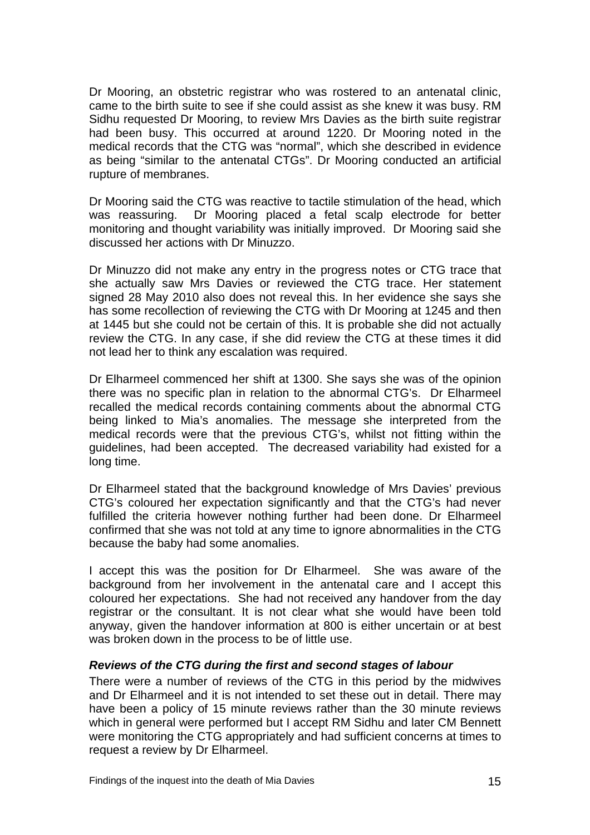<span id="page-16-0"></span>Dr Mooring, an obstetric registrar who was rostered to an antenatal clinic, came to the birth suite to see if she could assist as she knew it was busy. RM Sidhu requested Dr Mooring, to review Mrs Davies as the birth suite registrar had been busy. This occurred at around 1220. Dr Mooring noted in the medical records that the CTG was "normal", which she described in evidence as being "similar to the antenatal CTGs". Dr Mooring conducted an artificial rupture of membranes.

Dr Mooring said the CTG was reactive to tactile stimulation of the head, which was reassuring. Dr Mooring placed a fetal scalp electrode for better monitoring and thought variability was initially improved. Dr Mooring said she discussed her actions with Dr Minuzzo.

Dr Minuzzo did not make any entry in the progress notes or CTG trace that she actually saw Mrs Davies or reviewed the CTG trace. Her statement signed 28 May 2010 also does not reveal this. In her evidence she says she has some recollection of reviewing the CTG with Dr Mooring at 1245 and then at 1445 but she could not be certain of this. It is probable she did not actually review the CTG. In any case, if she did review the CTG at these times it did not lead her to think any escalation was required.

Dr Elharmeel commenced her shift at 1300. She says she was of the opinion there was no specific plan in relation to the abnormal CTG's. Dr Elharmeel recalled the medical records containing comments about the abnormal CTG being linked to Mia's anomalies. The message she interpreted from the medical records were that the previous CTG's, whilst not fitting within the guidelines, had been accepted. The decreased variability had existed for a long time.

Dr Elharmeel stated that the background knowledge of Mrs Davies' previous CTG's coloured her expectation significantly and that the CTG's had never fulfilled the criteria however nothing further had been done. Dr Elharmeel confirmed that she was not told at any time to ignore abnormalities in the CTG because the baby had some anomalies.

I accept this was the position for Dr Elharmeel. She was aware of the background from her involvement in the antenatal care and I accept this coloured her expectations. She had not received any handover from the day registrar or the consultant. It is not clear what she would have been told anyway, given the handover information at 800 is either uncertain or at best was broken down in the process to be of little use.

#### *Reviews of the CTG during the first and second stages of labour*

There were a number of reviews of the CTG in this period by the midwives and Dr Elharmeel and it is not intended to set these out in detail. There may have been a policy of 15 minute reviews rather than the 30 minute reviews which in general were performed but I accept RM Sidhu and later CM Bennett were monitoring the CTG appropriately and had sufficient concerns at times to request a review by Dr Elharmeel.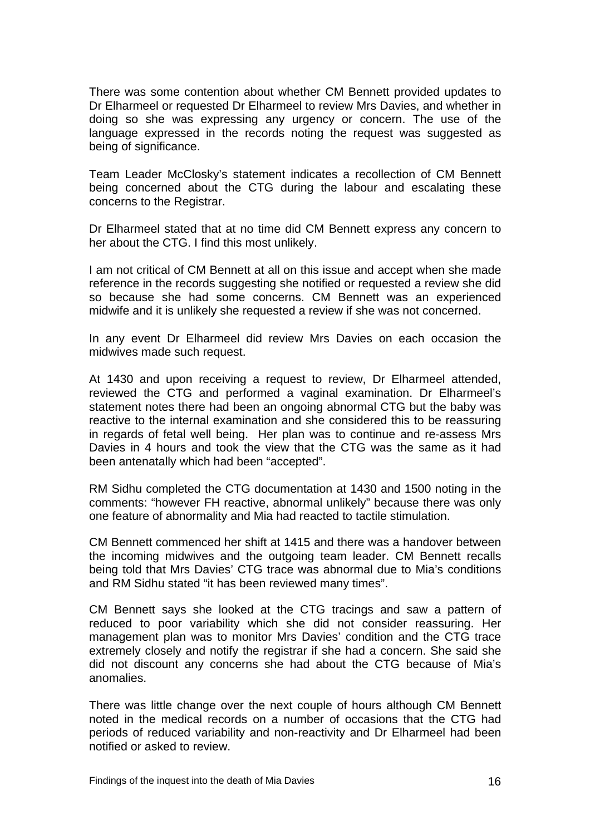There was some contention about whether CM Bennett provided updates to Dr Elharmeel or requested Dr Elharmeel to review Mrs Davies, and whether in doing so she was expressing any urgency or concern. The use of the language expressed in the records noting the request was suggested as being of significance.

Team Leader McClosky's statement indicates a recollection of CM Bennett being concerned about the CTG during the labour and escalating these concerns to the Registrar.

Dr Elharmeel stated that at no time did CM Bennett express any concern to her about the CTG. I find this most unlikely.

I am not critical of CM Bennett at all on this issue and accept when she made reference in the records suggesting she notified or requested a review she did so because she had some concerns. CM Bennett was an experienced midwife and it is unlikely she requested a review if she was not concerned.

In any event Dr Elharmeel did review Mrs Davies on each occasion the midwives made such request.

At 1430 and upon receiving a request to review, Dr Elharmeel attended, reviewed the CTG and performed a vaginal examination. Dr Elharmeel's statement notes there had been an ongoing abnormal CTG but the baby was reactive to the internal examination and she considered this to be reassuring in regards of fetal well being. Her plan was to continue and re-assess Mrs Davies in 4 hours and took the view that the CTG was the same as it had been antenatally which had been "accepted".

RM Sidhu completed the CTG documentation at 1430 and 1500 noting in the comments: "however FH reactive, abnormal unlikely" because there was only one feature of abnormality and Mia had reacted to tactile stimulation.

CM Bennett commenced her shift at 1415 and there was a handover between the incoming midwives and the outgoing team leader. CM Bennett recalls being told that Mrs Davies' CTG trace was abnormal due to Mia's conditions and RM Sidhu stated "it has been reviewed many times".

CM Bennett says she looked at the CTG tracings and saw a pattern of reduced to poor variability which she did not consider reassuring. Her management plan was to monitor Mrs Davies' condition and the CTG trace extremely closely and notify the registrar if she had a concern. She said she did not discount any concerns she had about the CTG because of Mia's anomalies.

There was little change over the next couple of hours although CM Bennett noted in the medical records on a number of occasions that the CTG had periods of reduced variability and non-reactivity and Dr Elharmeel had been notified or asked to review.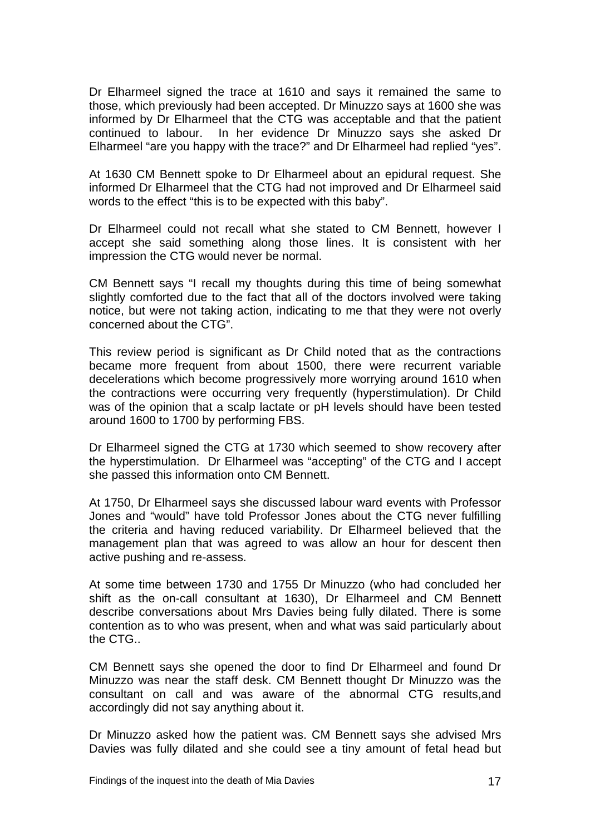Dr Elharmeel signed the trace at 1610 and says it remained the same to those, which previously had been accepted. Dr Minuzzo says at 1600 she was informed by Dr Elharmeel that the CTG was acceptable and that the patient continued to labour. In her evidence Dr Minuzzo says she asked Dr Elharmeel "are you happy with the trace?" and Dr Elharmeel had replied "yes".

At 1630 CM Bennett spoke to Dr Elharmeel about an epidural request. She informed Dr Elharmeel that the CTG had not improved and Dr Elharmeel said words to the effect "this is to be expected with this baby".

Dr Elharmeel could not recall what she stated to CM Bennett, however I accept she said something along those lines. It is consistent with her impression the CTG would never be normal.

CM Bennett says "I recall my thoughts during this time of being somewhat slightly comforted due to the fact that all of the doctors involved were taking notice, but were not taking action, indicating to me that they were not overly concerned about the CTG".

This review period is significant as Dr Child noted that as the contractions became more frequent from about 1500, there were recurrent variable decelerations which become progressively more worrying around 1610 when the contractions were occurring very frequently (hyperstimulation). Dr Child was of the opinion that a scalp lactate or pH levels should have been tested around 1600 to 1700 by performing FBS.

Dr Elharmeel signed the CTG at 1730 which seemed to show recovery after the hyperstimulation. Dr Elharmeel was "accepting" of the CTG and I accept she passed this information onto CM Bennett.

At 1750, Dr Elharmeel says she discussed labour ward events with Professor Jones and "would" have told Professor Jones about the CTG never fulfilling the criteria and having reduced variability. Dr Elharmeel believed that the management plan that was agreed to was allow an hour for descent then active pushing and re-assess.

At some time between 1730 and 1755 Dr Minuzzo (who had concluded her shift as the on-call consultant at 1630), Dr Elharmeel and CM Bennett describe conversations about Mrs Davies being fully dilated. There is some contention as to who was present, when and what was said particularly about the CTG..

CM Bennett says she opened the door to find Dr Elharmeel and found Dr Minuzzo was near the staff desk. CM Bennett thought Dr Minuzzo was the consultant on call and was aware of the abnormal CTG results,and accordingly did not say anything about it.

Dr Minuzzo asked how the patient was. CM Bennett says she advised Mrs Davies was fully dilated and she could see a tiny amount of fetal head but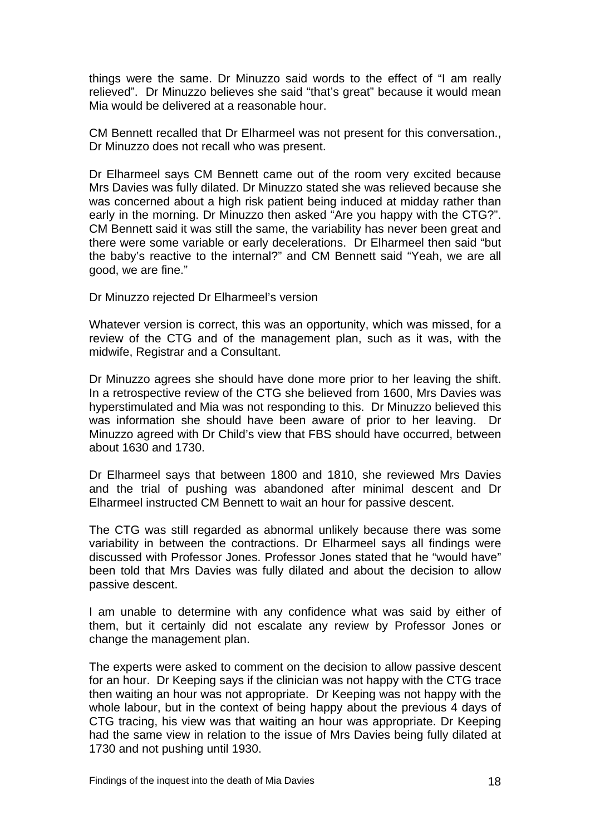things were the same. Dr Minuzzo said words to the effect of "I am really relieved". Dr Minuzzo believes she said "that's great" because it would mean Mia would be delivered at a reasonable hour.

CM Bennett recalled that Dr Elharmeel was not present for this conversation., Dr Minuzzo does not recall who was present.

Dr Elharmeel says CM Bennett came out of the room very excited because Mrs Davies was fully dilated. Dr Minuzzo stated she was relieved because she was concerned about a high risk patient being induced at midday rather than early in the morning. Dr Minuzzo then asked "Are you happy with the CTG?". CM Bennett said it was still the same, the variability has never been great and there were some variable or early decelerations. Dr Elharmeel then said "but the baby's reactive to the internal?" and CM Bennett said "Yeah, we are all good, we are fine."

Dr Minuzzo rejected Dr Elharmeel's version

Whatever version is correct, this was an opportunity, which was missed, for a review of the CTG and of the management plan, such as it was, with the midwife, Registrar and a Consultant.

Dr Minuzzo agrees she should have done more prior to her leaving the shift. In a retrospective review of the CTG she believed from 1600, Mrs Davies was hyperstimulated and Mia was not responding to this. Dr Minuzzo believed this was information she should have been aware of prior to her leaving. Dr Minuzzo agreed with Dr Child's view that FBS should have occurred, between about 1630 and 1730.

Dr Elharmeel says that between 1800 and 1810, she reviewed Mrs Davies and the trial of pushing was abandoned after minimal descent and Dr Elharmeel instructed CM Bennett to wait an hour for passive descent.

The CTG was still regarded as abnormal unlikely because there was some variability in between the contractions. Dr Elharmeel says all findings were discussed with Professor Jones. Professor Jones stated that he "would have" been told that Mrs Davies was fully dilated and about the decision to allow passive descent.

I am unable to determine with any confidence what was said by either of them, but it certainly did not escalate any review by Professor Jones or change the management plan.

The experts were asked to comment on the decision to allow passive descent for an hour. Dr Keeping says if the clinician was not happy with the CTG trace then waiting an hour was not appropriate. Dr Keeping was not happy with the whole labour, but in the context of being happy about the previous 4 days of CTG tracing, his view was that waiting an hour was appropriate. Dr Keeping had the same view in relation to the issue of Mrs Davies being fully dilated at 1730 and not pushing until 1930.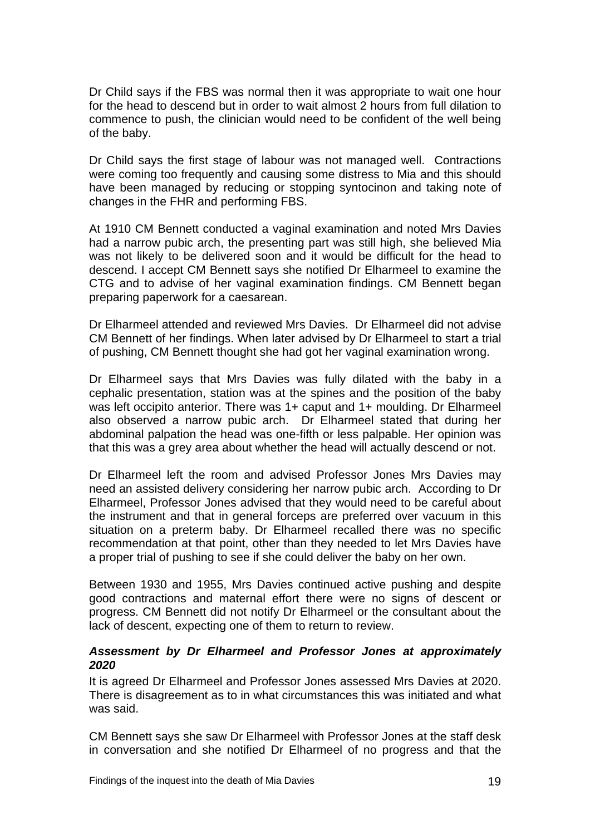<span id="page-20-0"></span>Dr Child says if the FBS was normal then it was appropriate to wait one hour for the head to descend but in order to wait almost 2 hours from full dilation to commence to push, the clinician would need to be confident of the well being of the baby.

Dr Child says the first stage of labour was not managed well. Contractions were coming too frequently and causing some distress to Mia and this should have been managed by reducing or stopping syntocinon and taking note of changes in the FHR and performing FBS.

At 1910 CM Bennett conducted a vaginal examination and noted Mrs Davies had a narrow pubic arch, the presenting part was still high, she believed Mia was not likely to be delivered soon and it would be difficult for the head to descend. I accept CM Bennett says she notified Dr Elharmeel to examine the CTG and to advise of her vaginal examination findings. CM Bennett began preparing paperwork for a caesarean.

Dr Elharmeel attended and reviewed Mrs Davies. Dr Elharmeel did not advise CM Bennett of her findings. When later advised by Dr Elharmeel to start a trial of pushing, CM Bennett thought she had got her vaginal examination wrong.

Dr Elharmeel says that Mrs Davies was fully dilated with the baby in a cephalic presentation, station was at the spines and the position of the baby was left occipito anterior. There was 1+ caput and 1+ moulding. Dr Elharmeel also observed a narrow pubic arch. Dr Elharmeel stated that during her abdominal palpation the head was one-fifth or less palpable. Her opinion was that this was a grey area about whether the head will actually descend or not.

Dr Elharmeel left the room and advised Professor Jones Mrs Davies may need an assisted delivery considering her narrow pubic arch. According to Dr Elharmeel, Professor Jones advised that they would need to be careful about the instrument and that in general forceps are preferred over vacuum in this situation on a preterm baby. Dr Elharmeel recalled there was no specific recommendation at that point, other than they needed to let Mrs Davies have a proper trial of pushing to see if she could deliver the baby on her own.

Between 1930 and 1955, Mrs Davies continued active pushing and despite good contractions and maternal effort there were no signs of descent or progress. CM Bennett did not notify Dr Elharmeel or the consultant about the lack of descent, expecting one of them to return to review.

#### *Assessment by Dr Elharmeel and Professor Jones at approximately 2020*

It is agreed Dr Elharmeel and Professor Jones assessed Mrs Davies at 2020. There is disagreement as to in what circumstances this was initiated and what was said.

CM Bennett says she saw Dr Elharmeel with Professor Jones at the staff desk in conversation and she notified Dr Elharmeel of no progress and that the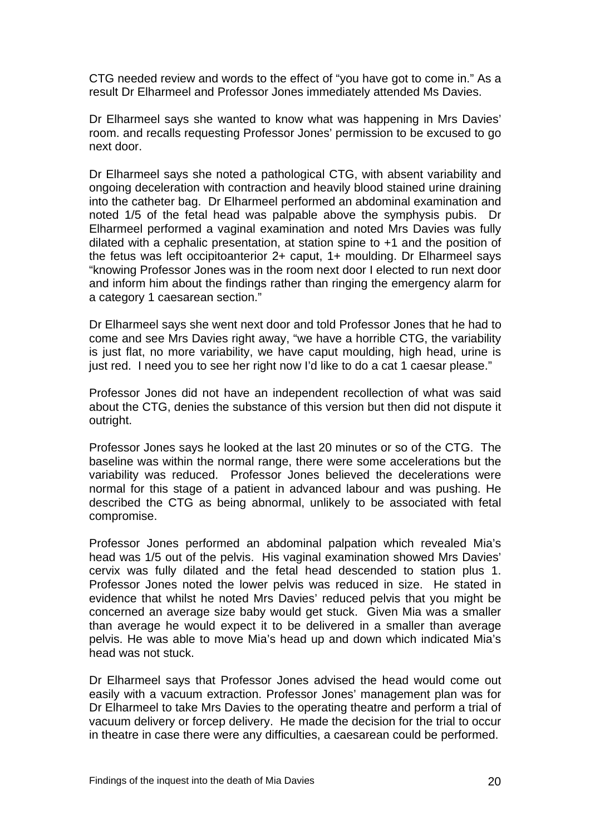CTG needed review and words to the effect of "you have got to come in." As a result Dr Elharmeel and Professor Jones immediately attended Ms Davies.

Dr Elharmeel says she wanted to know what was happening in Mrs Davies' room. and recalls requesting Professor Jones' permission to be excused to go next door.

Dr Elharmeel says she noted a pathological CTG, with absent variability and ongoing deceleration with contraction and heavily blood stained urine draining into the catheter bag. Dr Elharmeel performed an abdominal examination and noted 1/5 of the fetal head was palpable above the symphysis pubis. Dr Elharmeel performed a vaginal examination and noted Mrs Davies was fully dilated with a cephalic presentation, at station spine to +1 and the position of the fetus was left occipitoanterior 2+ caput, 1+ moulding. Dr Elharmeel says "knowing Professor Jones was in the room next door I elected to run next door and inform him about the findings rather than ringing the emergency alarm for a category 1 caesarean section."

Dr Elharmeel says she went next door and told Professor Jones that he had to come and see Mrs Davies right away, "we have a horrible CTG, the variability is just flat, no more variability, we have caput moulding, high head, urine is just red. I need you to see her right now I'd like to do a cat 1 caesar please."

Professor Jones did not have an independent recollection of what was said about the CTG, denies the substance of this version but then did not dispute it outright.

Professor Jones says he looked at the last 20 minutes or so of the CTG. The baseline was within the normal range, there were some accelerations but the variability was reduced. Professor Jones believed the decelerations were normal for this stage of a patient in advanced labour and was pushing. He described the CTG as being abnormal, unlikely to be associated with fetal compromise.

Professor Jones performed an abdominal palpation which revealed Mia's head was 1/5 out of the pelvis. His vaginal examination showed Mrs Davies' cervix was fully dilated and the fetal head descended to station plus 1. Professor Jones noted the lower pelvis was reduced in size. He stated in evidence that whilst he noted Mrs Davies' reduced pelvis that you might be concerned an average size baby would get stuck. Given Mia was a smaller than average he would expect it to be delivered in a smaller than average pelvis. He was able to move Mia's head up and down which indicated Mia's head was not stuck.

Dr Elharmeel says that Professor Jones advised the head would come out easily with a vacuum extraction. Professor Jones' management plan was for Dr Elharmeel to take Mrs Davies to the operating theatre and perform a trial of vacuum delivery or forcep delivery. He made the decision for the trial to occur in theatre in case there were any difficulties, a caesarean could be performed.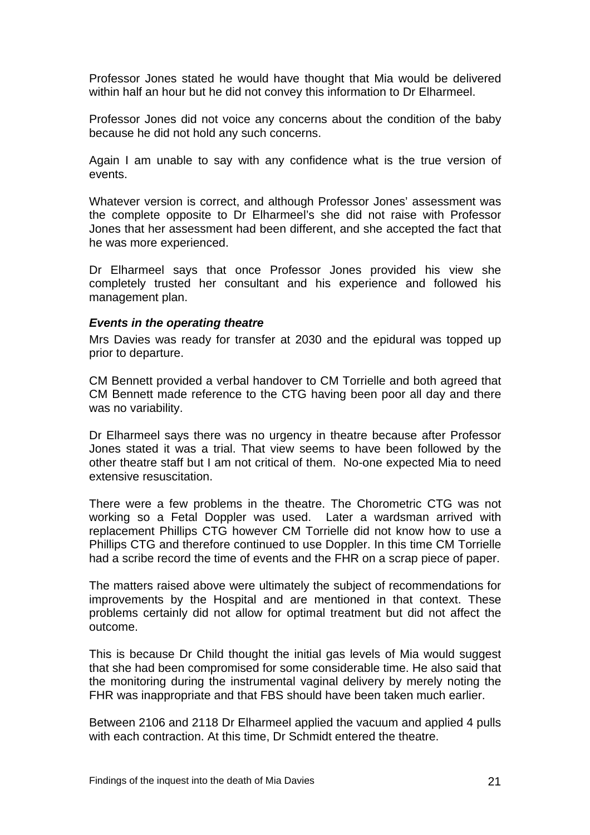<span id="page-22-0"></span>Professor Jones stated he would have thought that Mia would be delivered within half an hour but he did not convey this information to Dr Elharmeel.

Professor Jones did not voice any concerns about the condition of the baby because he did not hold any such concerns.

Again I am unable to say with any confidence what is the true version of events.

Whatever version is correct, and although Professor Jones' assessment was the complete opposite to Dr Elharmeel's she did not raise with Professor Jones that her assessment had been different, and she accepted the fact that he was more experienced.

Dr Elharmeel says that once Professor Jones provided his view she completely trusted her consultant and his experience and followed his management plan.

#### *Events in the operating theatre*

Mrs Davies was ready for transfer at 2030 and the epidural was topped up prior to departure.

CM Bennett provided a verbal handover to CM Torrielle and both agreed that CM Bennett made reference to the CTG having been poor all day and there was no variability.

Dr Elharmeel says there was no urgency in theatre because after Professor Jones stated it was a trial. That view seems to have been followed by the other theatre staff but I am not critical of them. No-one expected Mia to need extensive resuscitation.

There were a few problems in the theatre. The Chorometric CTG was not working so a Fetal Doppler was used. Later a wardsman arrived with replacement Phillips CTG however CM Torrielle did not know how to use a Phillips CTG and therefore continued to use Doppler. In this time CM Torrielle had a scribe record the time of events and the FHR on a scrap piece of paper.

The matters raised above were ultimately the subject of recommendations for improvements by the Hospital and are mentioned in that context. These problems certainly did not allow for optimal treatment but did not affect the outcome.

This is because Dr Child thought the initial gas levels of Mia would suggest that she had been compromised for some considerable time. He also said that the monitoring during the instrumental vaginal delivery by merely noting the FHR was inappropriate and that FBS should have been taken much earlier.

Between 2106 and 2118 Dr Elharmeel applied the vacuum and applied 4 pulls with each contraction. At this time, Dr Schmidt entered the theatre.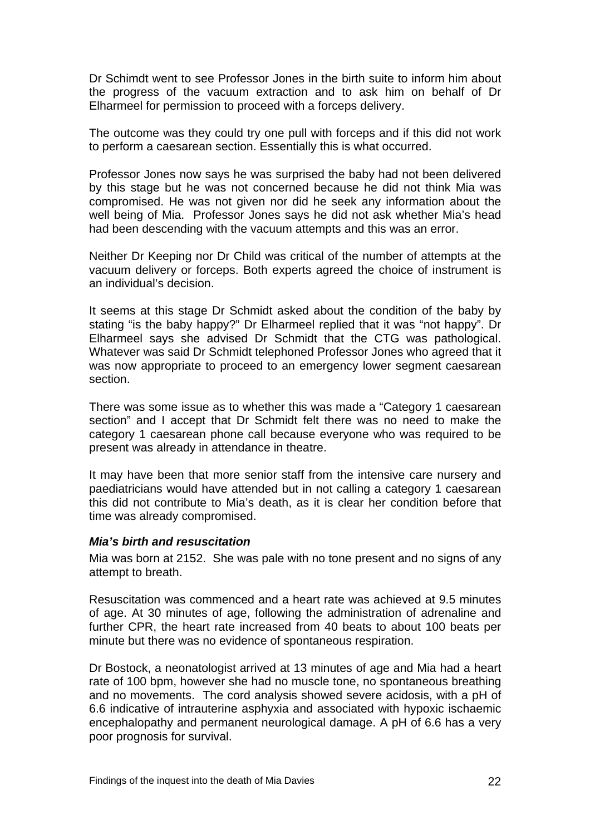<span id="page-23-0"></span>Dr Schimdt went to see Professor Jones in the birth suite to inform him about the progress of the vacuum extraction and to ask him on behalf of Dr Elharmeel for permission to proceed with a forceps delivery.

The outcome was they could try one pull with forceps and if this did not work to perform a caesarean section. Essentially this is what occurred.

Professor Jones now says he was surprised the baby had not been delivered by this stage but he was not concerned because he did not think Mia was compromised. He was not given nor did he seek any information about the well being of Mia. Professor Jones says he did not ask whether Mia's head had been descending with the vacuum attempts and this was an error.

Neither Dr Keeping nor Dr Child was critical of the number of attempts at the vacuum delivery or forceps. Both experts agreed the choice of instrument is an individual's decision.

It seems at this stage Dr Schmidt asked about the condition of the baby by stating "is the baby happy?" Dr Elharmeel replied that it was "not happy". Dr Elharmeel says she advised Dr Schmidt that the CTG was pathological. Whatever was said Dr Schmidt telephoned Professor Jones who agreed that it was now appropriate to proceed to an emergency lower segment caesarean section.

There was some issue as to whether this was made a "Category 1 caesarean section" and I accept that Dr Schmidt felt there was no need to make the category 1 caesarean phone call because everyone who was required to be present was already in attendance in theatre.

It may have been that more senior staff from the intensive care nursery and paediatricians would have attended but in not calling a category 1 caesarean this did not contribute to Mia's death, as it is clear her condition before that time was already compromised.

#### *Mia's birth and resuscitation*

Mia was born at 2152. She was pale with no tone present and no signs of any attempt to breath.

Resuscitation was commenced and a heart rate was achieved at 9.5 minutes of age. At 30 minutes of age, following the administration of adrenaline and further CPR, the heart rate increased from 40 beats to about 100 beats per minute but there was no evidence of spontaneous respiration.

Dr Bostock, a neonatologist arrived at 13 minutes of age and Mia had a heart rate of 100 bpm, however she had no muscle tone, no spontaneous breathing and no movements. The cord analysis showed severe acidosis, with a pH of 6.6 indicative of intrauterine asphyxia and associated with hypoxic ischaemic encephalopathy and permanent neurological damage. A pH of 6.6 has a very poor prognosis for survival.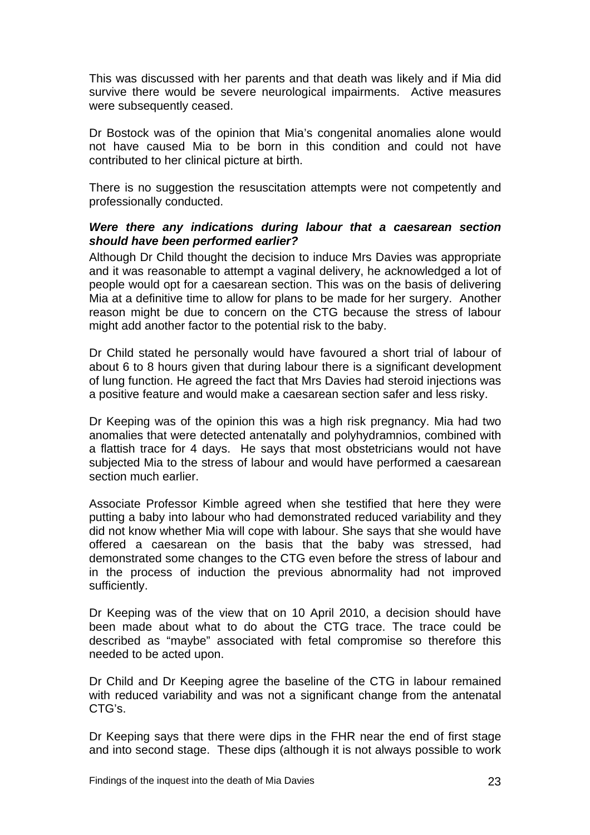<span id="page-24-0"></span>This was discussed with her parents and that death was likely and if Mia did survive there would be severe neurological impairments. Active measures were subsequently ceased.

Dr Bostock was of the opinion that Mia's congenital anomalies alone would not have caused Mia to be born in this condition and could not have contributed to her clinical picture at birth.

There is no suggestion the resuscitation attempts were not competently and professionally conducted.

#### *Were there any indications during labour that a caesarean section should have been performed earlier?*

Although Dr Child thought the decision to induce Mrs Davies was appropriate and it was reasonable to attempt a vaginal delivery, he acknowledged a lot of people would opt for a caesarean section. This was on the basis of delivering Mia at a definitive time to allow for plans to be made for her surgery. Another reason might be due to concern on the CTG because the stress of labour might add another factor to the potential risk to the baby.

Dr Child stated he personally would have favoured a short trial of labour of about 6 to 8 hours given that during labour there is a significant development of lung function. He agreed the fact that Mrs Davies had steroid injections was a positive feature and would make a caesarean section safer and less risky.

Dr Keeping was of the opinion this was a high risk pregnancy. Mia had two anomalies that were detected antenatally and polyhydramnios, combined with a flattish trace for 4 days. He says that most obstetricians would not have subjected Mia to the stress of labour and would have performed a caesarean section much earlier.

Associate Professor Kimble agreed when she testified that here they were putting a baby into labour who had demonstrated reduced variability and they did not know whether Mia will cope with labour. She says that she would have offered a caesarean on the basis that the baby was stressed, had demonstrated some changes to the CTG even before the stress of labour and in the process of induction the previous abnormality had not improved sufficiently.

Dr Keeping was of the view that on 10 April 2010, a decision should have been made about what to do about the CTG trace. The trace could be described as "maybe" associated with fetal compromise so therefore this needed to be acted upon.

Dr Child and Dr Keeping agree the baseline of the CTG in labour remained with reduced variability and was not a significant change from the antenatal CTG's.

Dr Keeping says that there were dips in the FHR near the end of first stage and into second stage. These dips (although it is not always possible to work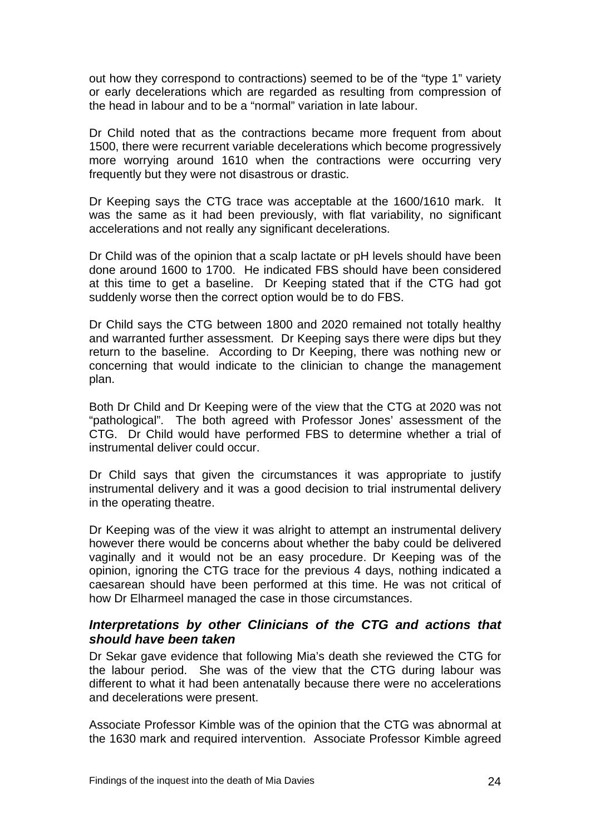<span id="page-25-0"></span>out how they correspond to contractions) seemed to be of the "type 1" variety or early decelerations which are regarded as resulting from compression of the head in labour and to be a "normal" variation in late labour.

Dr Child noted that as the contractions became more frequent from about 1500, there were recurrent variable decelerations which become progressively more worrying around 1610 when the contractions were occurring very frequently but they were not disastrous or drastic.

Dr Keeping says the CTG trace was acceptable at the 1600/1610 mark. It was the same as it had been previously, with flat variability, no significant accelerations and not really any significant decelerations.

Dr Child was of the opinion that a scalp lactate or pH levels should have been done around 1600 to 1700. He indicated FBS should have been considered at this time to get a baseline. Dr Keeping stated that if the CTG had got suddenly worse then the correct option would be to do FBS.

Dr Child says the CTG between 1800 and 2020 remained not totally healthy and warranted further assessment. Dr Keeping says there were dips but they return to the baseline. According to Dr Keeping, there was nothing new or concerning that would indicate to the clinician to change the management plan.

Both Dr Child and Dr Keeping were of the view that the CTG at 2020 was not "pathological". The both agreed with Professor Jones' assessment of the CTG. Dr Child would have performed FBS to determine whether a trial of instrumental deliver could occur.

Dr Child says that given the circumstances it was appropriate to justify instrumental delivery and it was a good decision to trial instrumental delivery in the operating theatre.

Dr Keeping was of the view it was alright to attempt an instrumental delivery however there would be concerns about whether the baby could be delivered vaginally and it would not be an easy procedure. Dr Keeping was of the opinion, ignoring the CTG trace for the previous 4 days, nothing indicated a caesarean should have been performed at this time. He was not critical of how Dr Elharmeel managed the case in those circumstances.

## *Interpretations by other Clinicians of the CTG and actions that should have been taken*

Dr Sekar gave evidence that following Mia's death she reviewed the CTG for the labour period. She was of the view that the CTG during labour was different to what it had been antenatally because there were no accelerations and decelerations were present.

Associate Professor Kimble was of the opinion that the CTG was abnormal at the 1630 mark and required intervention. Associate Professor Kimble agreed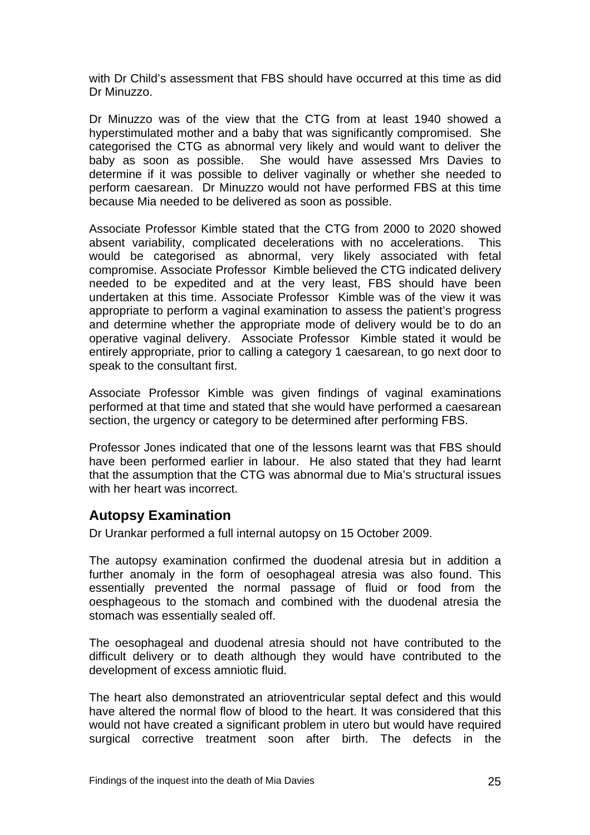<span id="page-26-0"></span>with Dr Child's assessment that FBS should have occurred at this time as did Dr Minuzzo.

Dr Minuzzo was of the view that the CTG from at least 1940 showed a hyperstimulated mother and a baby that was significantly compromised. She categorised the CTG as abnormal very likely and would want to deliver the baby as soon as possible. She would have assessed Mrs Davies to determine if it was possible to deliver vaginally or whether she needed to perform caesarean. Dr Minuzzo would not have performed FBS at this time because Mia needed to be delivered as soon as possible.

Associate Professor Kimble stated that the CTG from 2000 to 2020 showed absent variability, complicated decelerations with no accelerations. This would be categorised as abnormal, very likely associated with fetal compromise. Associate Professor Kimble believed the CTG indicated delivery needed to be expedited and at the very least, FBS should have been undertaken at this time. Associate Professor Kimble was of the view it was appropriate to perform a vaginal examination to assess the patient's progress and determine whether the appropriate mode of delivery would be to do an operative vaginal delivery. Associate Professor Kimble stated it would be entirely appropriate, prior to calling a category 1 caesarean, to go next door to speak to the consultant first.

Associate Professor Kimble was given findings of vaginal examinations performed at that time and stated that she would have performed a caesarean section, the urgency or category to be determined after performing FBS.

Professor Jones indicated that one of the lessons learnt was that FBS should have been performed earlier in labour. He also stated that they had learnt that the assumption that the CTG was abnormal due to Mia's structural issues with her heart was incorrect.

# **Autopsy Examination**

Dr Urankar performed a full internal autopsy on 15 October 2009.

The autopsy examination confirmed the duodenal atresia but in addition a further anomaly in the form of oesophageal atresia was also found. This essentially prevented the normal passage of fluid or food from the oesphageous to the stomach and combined with the duodenal atresia the stomach was essentially sealed off.

The oesophageal and duodenal atresia should not have contributed to the difficult delivery or to death although they would have contributed to the development of excess amniotic fluid.

The heart also demonstrated an atrioventricular septal defect and this would have altered the normal flow of blood to the heart. It was considered that this would not have created a significant problem in utero but would have required surgical corrective treatment soon after birth. The defects in the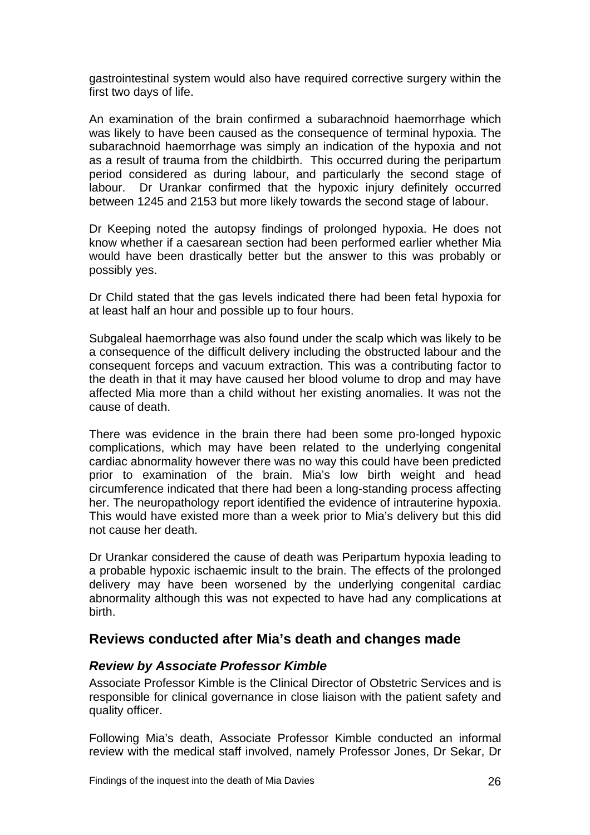<span id="page-27-0"></span>gastrointestinal system would also have required corrective surgery within the first two days of life.

An examination of the brain confirmed a subarachnoid haemorrhage which was likely to have been caused as the consequence of terminal hypoxia. The subarachnoid haemorrhage was simply an indication of the hypoxia and not as a result of trauma from the childbirth. This occurred during the peripartum period considered as during labour, and particularly the second stage of labour. Dr Urankar confirmed that the hypoxic injury definitely occurred between 1245 and 2153 but more likely towards the second stage of labour.

Dr Keeping noted the autopsy findings of prolonged hypoxia. He does not know whether if a caesarean section had been performed earlier whether Mia would have been drastically better but the answer to this was probably or possibly yes.

Dr Child stated that the gas levels indicated there had been fetal hypoxia for at least half an hour and possible up to four hours.

Subgaleal haemorrhage was also found under the scalp which was likely to be a consequence of the difficult delivery including the obstructed labour and the consequent forceps and vacuum extraction. This was a contributing factor to the death in that it may have caused her blood volume to drop and may have affected Mia more than a child without her existing anomalies. It was not the cause of death.

There was evidence in the brain there had been some pro-longed hypoxic complications, which may have been related to the underlying congenital cardiac abnormality however there was no way this could have been predicted prior to examination of the brain. Mia's low birth weight and head circumference indicated that there had been a long-standing process affecting her. The neuropathology report identified the evidence of intrauterine hypoxia. This would have existed more than a week prior to Mia's delivery but this did not cause her death.

Dr Urankar considered the cause of death was Peripartum hypoxia leading to a probable hypoxic ischaemic insult to the brain. The effects of the prolonged delivery may have been worsened by the underlying congenital cardiac abnormality although this was not expected to have had any complications at birth.

# **Reviews conducted after Mia's death and changes made**

## *Review by Associate Professor Kimble*

Associate Professor Kimble is the Clinical Director of Obstetric Services and is responsible for clinical governance in close liaison with the patient safety and quality officer.

Following Mia's death, Associate Professor Kimble conducted an informal review with the medical staff involved, namely Professor Jones, Dr Sekar, Dr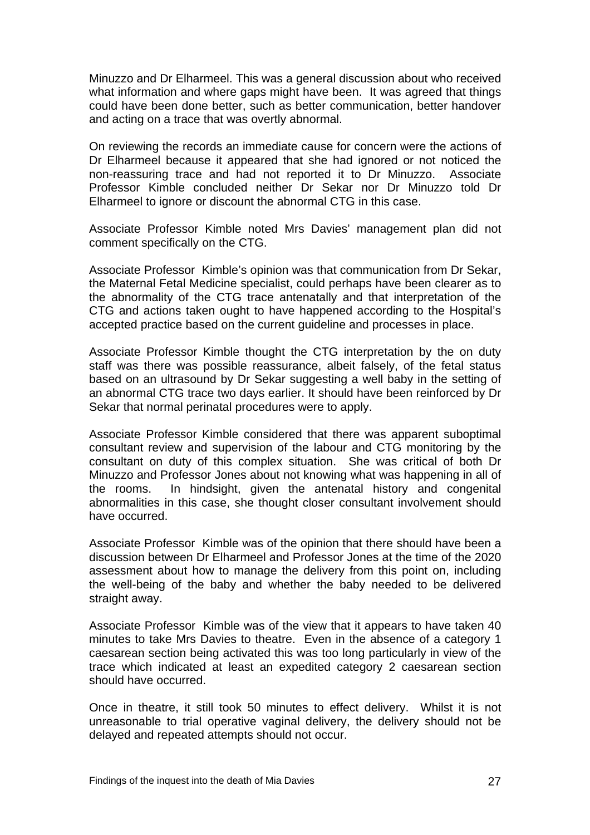Minuzzo and Dr Elharmeel. This was a general discussion about who received what information and where gaps might have been. It was agreed that things could have been done better, such as better communication, better handover and acting on a trace that was overtly abnormal.

On reviewing the records an immediate cause for concern were the actions of Dr Elharmeel because it appeared that she had ignored or not noticed the non-reassuring trace and had not reported it to Dr Minuzzo. Associate Professor Kimble concluded neither Dr Sekar nor Dr Minuzzo told Dr Elharmeel to ignore or discount the abnormal CTG in this case.

Associate Professor Kimble noted Mrs Davies' management plan did not comment specifically on the CTG.

Associate Professor Kimble's opinion was that communication from Dr Sekar, the Maternal Fetal Medicine specialist, could perhaps have been clearer as to the abnormality of the CTG trace antenatally and that interpretation of the CTG and actions taken ought to have happened according to the Hospital's accepted practice based on the current guideline and processes in place.

Associate Professor Kimble thought the CTG interpretation by the on duty staff was there was possible reassurance, albeit falsely, of the fetal status based on an ultrasound by Dr Sekar suggesting a well baby in the setting of an abnormal CTG trace two days earlier. It should have been reinforced by Dr Sekar that normal perinatal procedures were to apply.

Associate Professor Kimble considered that there was apparent suboptimal consultant review and supervision of the labour and CTG monitoring by the consultant on duty of this complex situation. She was critical of both Dr Minuzzo and Professor Jones about not knowing what was happening in all of the rooms. In hindsight, given the antenatal history and congenital abnormalities in this case, she thought closer consultant involvement should have occurred.

Associate Professor Kimble was of the opinion that there should have been a discussion between Dr Elharmeel and Professor Jones at the time of the 2020 assessment about how to manage the delivery from this point on, including the well-being of the baby and whether the baby needed to be delivered straight away.

Associate Professor Kimble was of the view that it appears to have taken 40 minutes to take Mrs Davies to theatre. Even in the absence of a category 1 caesarean section being activated this was too long particularly in view of the trace which indicated at least an expedited category 2 caesarean section should have occurred.

Once in theatre, it still took 50 minutes to effect delivery. Whilst it is not unreasonable to trial operative vaginal delivery, the delivery should not be delayed and repeated attempts should not occur.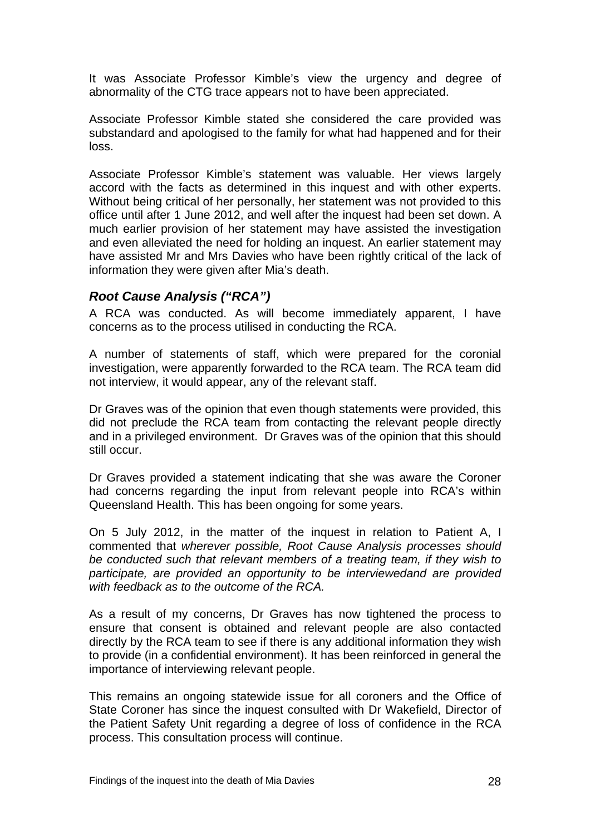<span id="page-29-0"></span>It was Associate Professor Kimble's view the urgency and degree of abnormality of the CTG trace appears not to have been appreciated.

Associate Professor Kimble stated she considered the care provided was substandard and apologised to the family for what had happened and for their loss.

Associate Professor Kimble's statement was valuable. Her views largely accord with the facts as determined in this inquest and with other experts. Without being critical of her personally, her statement was not provided to this office until after 1 June 2012, and well after the inquest had been set down. A much earlier provision of her statement may have assisted the investigation and even alleviated the need for holding an inquest. An earlier statement may have assisted Mr and Mrs Davies who have been rightly critical of the lack of information they were given after Mia's death.

## *Root Cause Analysis ("RCA")*

A RCA was conducted. As will become immediately apparent, I have concerns as to the process utilised in conducting the RCA.

A number of statements of staff, which were prepared for the coronial investigation, were apparently forwarded to the RCA team. The RCA team did not interview, it would appear, any of the relevant staff.

Dr Graves was of the opinion that even though statements were provided, this did not preclude the RCA team from contacting the relevant people directly and in a privileged environment. Dr Graves was of the opinion that this should still occur.

Dr Graves provided a statement indicating that she was aware the Coroner had concerns regarding the input from relevant people into RCA's within Queensland Health. This has been ongoing for some years.

On 5 July 2012, in the matter of the inquest in relation to Patient A, I commented that *wherever possible, Root Cause Analysis processes should be conducted such that relevant members of a treating team, if they wish to participate, are provided an opportunity to be interviewedand are provided with feedback as to the outcome of the RCA.* 

As a result of my concerns, Dr Graves has now tightened the process to ensure that consent is obtained and relevant people are also contacted directly by the RCA team to see if there is any additional information they wish to provide (in a confidential environment). It has been reinforced in general the importance of interviewing relevant people.

This remains an ongoing statewide issue for all coroners and the Office of State Coroner has since the inquest consulted with Dr Wakefield, Director of the Patient Safety Unit regarding a degree of loss of confidence in the RCA process. This consultation process will continue.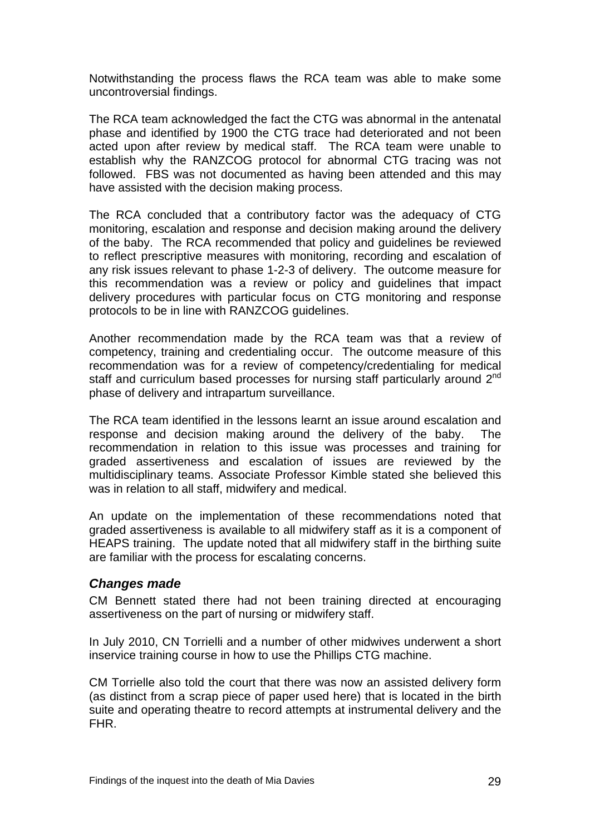<span id="page-30-0"></span>Notwithstanding the process flaws the RCA team was able to make some uncontroversial findings.

The RCA team acknowledged the fact the CTG was abnormal in the antenatal phase and identified by 1900 the CTG trace had deteriorated and not been acted upon after review by medical staff. The RCA team were unable to establish why the RANZCOG protocol for abnormal CTG tracing was not followed. FBS was not documented as having been attended and this may have assisted with the decision making process.

The RCA concluded that a contributory factor was the adequacy of CTG monitoring, escalation and response and decision making around the delivery of the baby. The RCA recommended that policy and guidelines be reviewed to reflect prescriptive measures with monitoring, recording and escalation of any risk issues relevant to phase 1-2-3 of delivery. The outcome measure for this recommendation was a review or policy and guidelines that impact delivery procedures with particular focus on CTG monitoring and response protocols to be in line with RANZCOG guidelines.

Another recommendation made by the RCA team was that a review of competency, training and credentialing occur. The outcome measure of this recommendation was for a review of competency/credentialing for medical staff and curriculum based processes for nursing staff particularly around 2<sup>nd</sup> phase of delivery and intrapartum surveillance.

The RCA team identified in the lessons learnt an issue around escalation and response and decision making around the delivery of the baby. The recommendation in relation to this issue was processes and training for graded assertiveness and escalation of issues are reviewed by the multidisciplinary teams. Associate Professor Kimble stated she believed this was in relation to all staff, midwifery and medical.

An update on the implementation of these recommendations noted that graded assertiveness is available to all midwifery staff as it is a component of HEAPS training. The update noted that all midwifery staff in the birthing suite are familiar with the process for escalating concerns.

#### *Changes made*

CM Bennett stated there had not been training directed at encouraging assertiveness on the part of nursing or midwifery staff.

In July 2010, CN Torrielli and a number of other midwives underwent a short inservice training course in how to use the Phillips CTG machine.

CM Torrielle also told the court that there was now an assisted delivery form (as distinct from a scrap piece of paper used here) that is located in the birth suite and operating theatre to record attempts at instrumental delivery and the FHR.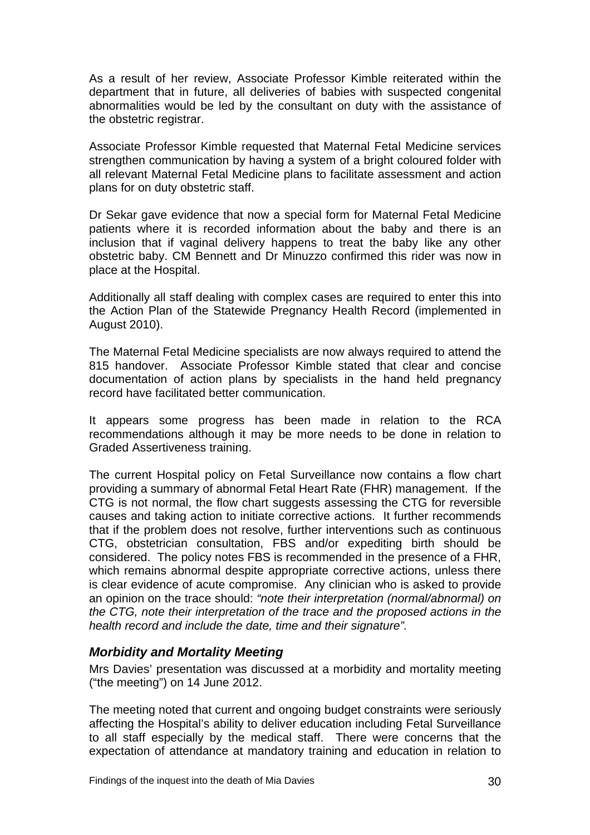<span id="page-31-0"></span>As a result of her review, Associate Professor Kimble reiterated within the department that in future, all deliveries of babies with suspected congenital abnormalities would be led by the consultant on duty with the assistance of the obstetric registrar.

Associate Professor Kimble requested that Maternal Fetal Medicine services strengthen communication by having a system of a bright coloured folder with all relevant Maternal Fetal Medicine plans to facilitate assessment and action plans for on duty obstetric staff.

Dr Sekar gave evidence that now a special form for Maternal Fetal Medicine patients where it is recorded information about the baby and there is an inclusion that if vaginal delivery happens to treat the baby like any other obstetric baby. CM Bennett and Dr Minuzzo confirmed this rider was now in place at the Hospital.

Additionally all staff dealing with complex cases are required to enter this into the Action Plan of the Statewide Pregnancy Health Record (implemented in August 2010).

The Maternal Fetal Medicine specialists are now always required to attend the 815 handover. Associate Professor Kimble stated that clear and concise documentation of action plans by specialists in the hand held pregnancy record have facilitated better communication.

It appears some progress has been made in relation to the RCA recommendations although it may be more needs to be done in relation to Graded Assertiveness training.

The current Hospital policy on Fetal Surveillance now contains a flow chart providing a summary of abnormal Fetal Heart Rate (FHR) management. If the CTG is not normal, the flow chart suggests assessing the CTG for reversible causes and taking action to initiate corrective actions. It further recommends that if the problem does not resolve, further interventions such as continuous CTG, obstetrician consultation, FBS and/or expediting birth should be considered. The policy notes FBS is recommended in the presence of a FHR, which remains abnormal despite appropriate corrective actions, unless there is clear evidence of acute compromise. Any clinician who is asked to provide an opinion on the trace should: *"note their interpretation (normal/abnormal) on the CTG, note their interpretation of the trace and the proposed actions in the health record and include the date, time and their signature".* 

## *Morbidity and Mortality Meeting*

Mrs Davies' presentation was discussed at a morbidity and mortality meeting ("the meeting") on 14 June 2012.

The meeting noted that current and ongoing budget constraints were seriously affecting the Hospital's ability to deliver education including Fetal Surveillance to all staff especially by the medical staff. There were concerns that the expectation of attendance at mandatory training and education in relation to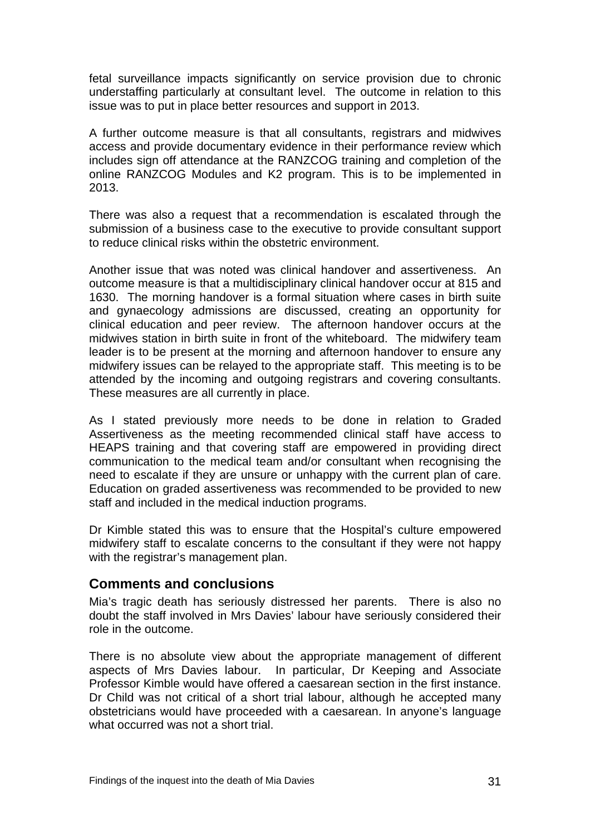<span id="page-32-0"></span>fetal surveillance impacts significantly on service provision due to chronic understaffing particularly at consultant level. The outcome in relation to this issue was to put in place better resources and support in 2013.

A further outcome measure is that all consultants, registrars and midwives access and provide documentary evidence in their performance review which includes sign off attendance at the RANZCOG training and completion of the online RANZCOG Modules and K2 program. This is to be implemented in 2013.

There was also a request that a recommendation is escalated through the submission of a business case to the executive to provide consultant support to reduce clinical risks within the obstetric environment.

Another issue that was noted was clinical handover and assertiveness. An outcome measure is that a multidisciplinary clinical handover occur at 815 and 1630. The morning handover is a formal situation where cases in birth suite and gynaecology admissions are discussed, creating an opportunity for clinical education and peer review. The afternoon handover occurs at the midwives station in birth suite in front of the whiteboard. The midwifery team leader is to be present at the morning and afternoon handover to ensure any midwifery issues can be relayed to the appropriate staff. This meeting is to be attended by the incoming and outgoing registrars and covering consultants. These measures are all currently in place.

As I stated previously more needs to be done in relation to Graded Assertiveness as the meeting recommended clinical staff have access to HEAPS training and that covering staff are empowered in providing direct communication to the medical team and/or consultant when recognising the need to escalate if they are unsure or unhappy with the current plan of care. Education on graded assertiveness was recommended to be provided to new staff and included in the medical induction programs.

Dr Kimble stated this was to ensure that the Hospital's culture empowered midwifery staff to escalate concerns to the consultant if they were not happy with the registrar's management plan.

## **Comments and conclusions**

Mia's tragic death has seriously distressed her parents. There is also no doubt the staff involved in Mrs Davies' labour have seriously considered their role in the outcome.

There is no absolute view about the appropriate management of different aspects of Mrs Davies labour. In particular, Dr Keeping and Associate Professor Kimble would have offered a caesarean section in the first instance. Dr Child was not critical of a short trial labour, although he accepted many obstetricians would have proceeded with a caesarean. In anyone's language what occurred was not a short trial.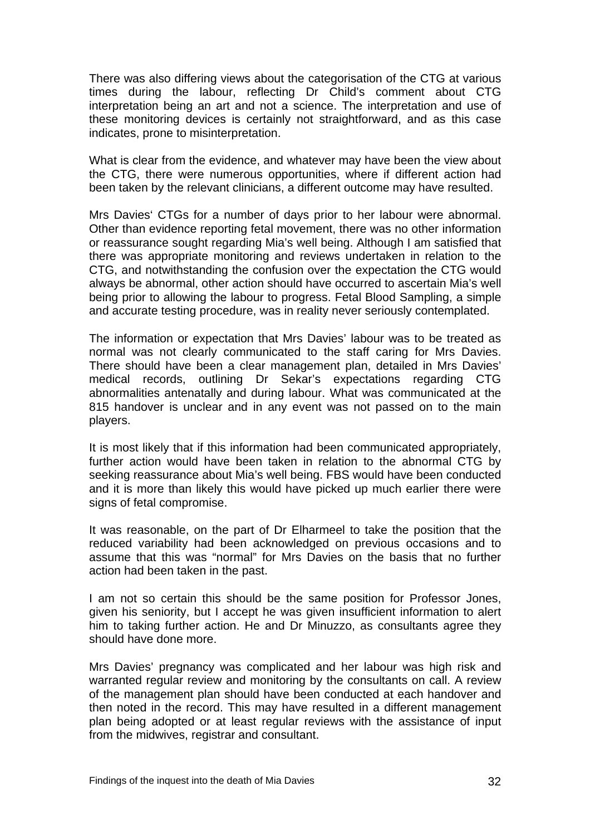There was also differing views about the categorisation of the CTG at various times during the labour, reflecting Dr Child's comment about CTG interpretation being an art and not a science. The interpretation and use of these monitoring devices is certainly not straightforward, and as this case indicates, prone to misinterpretation.

What is clear from the evidence, and whatever may have been the view about the CTG, there were numerous opportunities, where if different action had been taken by the relevant clinicians, a different outcome may have resulted.

Mrs Davies' CTGs for a number of days prior to her labour were abnormal. Other than evidence reporting fetal movement, there was no other information or reassurance sought regarding Mia's well being. Although I am satisfied that there was appropriate monitoring and reviews undertaken in relation to the CTG, and notwithstanding the confusion over the expectation the CTG would always be abnormal, other action should have occurred to ascertain Mia's well being prior to allowing the labour to progress. Fetal Blood Sampling, a simple and accurate testing procedure, was in reality never seriously contemplated.

The information or expectation that Mrs Davies' labour was to be treated as normal was not clearly communicated to the staff caring for Mrs Davies. There should have been a clear management plan, detailed in Mrs Davies' medical records, outlining Dr Sekar's expectations regarding CTG abnormalities antenatally and during labour. What was communicated at the 815 handover is unclear and in any event was not passed on to the main players.

It is most likely that if this information had been communicated appropriately, further action would have been taken in relation to the abnormal CTG by seeking reassurance about Mia's well being. FBS would have been conducted and it is more than likely this would have picked up much earlier there were signs of fetal compromise.

It was reasonable, on the part of Dr Elharmeel to take the position that the reduced variability had been acknowledged on previous occasions and to assume that this was "normal" for Mrs Davies on the basis that no further action had been taken in the past.

I am not so certain this should be the same position for Professor Jones, given his seniority, but I accept he was given insufficient information to alert him to taking further action. He and Dr Minuzzo, as consultants agree they should have done more.

Mrs Davies' pregnancy was complicated and her labour was high risk and warranted regular review and monitoring by the consultants on call. A review of the management plan should have been conducted at each handover and then noted in the record. This may have resulted in a different management plan being adopted or at least regular reviews with the assistance of input from the midwives, registrar and consultant.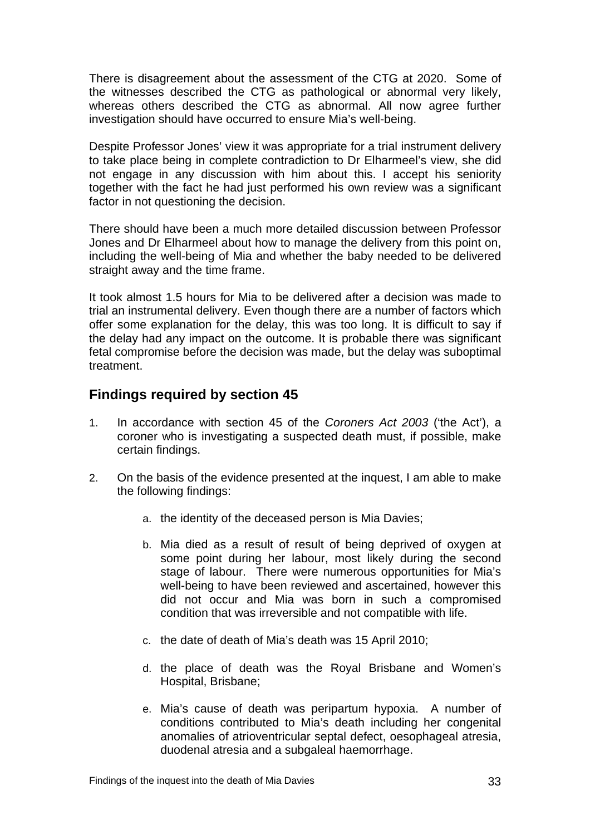<span id="page-34-0"></span>There is disagreement about the assessment of the CTG at 2020. Some of the witnesses described the CTG as pathological or abnormal very likely, whereas others described the CTG as abnormal. All now agree further investigation should have occurred to ensure Mia's well-being.

Despite Professor Jones' view it was appropriate for a trial instrument delivery to take place being in complete contradiction to Dr Elharmeel's view, she did not engage in any discussion with him about this. I accept his seniority together with the fact he had just performed his own review was a significant factor in not questioning the decision.

There should have been a much more detailed discussion between Professor Jones and Dr Elharmeel about how to manage the delivery from this point on, including the well-being of Mia and whether the baby needed to be delivered straight away and the time frame.

It took almost 1.5 hours for Mia to be delivered after a decision was made to trial an instrumental delivery. Even though there are a number of factors which offer some explanation for the delay, this was too long. It is difficult to say if the delay had any impact on the outcome. It is probable there was significant fetal compromise before the decision was made, but the delay was suboptimal treatment.

## **Findings required by section 45**

- 1. In accordance with section 45 of the *Coroners Act 2003* ('the Act'), a coroner who is investigating a suspected death must, if possible, make certain findings.
- 2. On the basis of the evidence presented at the inquest, I am able to make the following findings:
	- a. the identity of the deceased person is Mia Davies;
	- b. Mia died as a result of result of being deprived of oxygen at some point during her labour, most likely during the second stage of labour. There were numerous opportunities for Mia's well-being to have been reviewed and ascertained, however this did not occur and Mia was born in such a compromised condition that was irreversible and not compatible with life.
	- c. the date of death of Mia's death was 15 April 2010;
	- d. the place of death was the Royal Brisbane and Women's Hospital, Brisbane;
	- e. Mia's cause of death was peripartum hypoxia. A number of conditions contributed to Mia's death including her congenital anomalies of atrioventricular septal defect, oesophageal atresia, duodenal atresia and a subgaleal haemorrhage.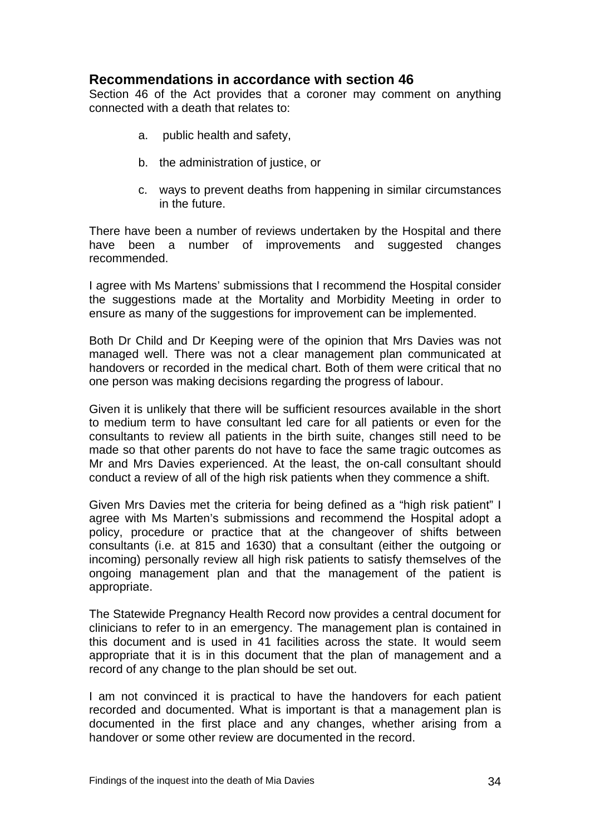## <span id="page-35-0"></span>**Recommendations in accordance with section 46**

Section 46 of the Act provides that a coroner may comment on anything connected with a death that relates to:

- a. public health and safety,
- b. the administration of justice, or
- c. ways to prevent deaths from happening in similar circumstances in the future.

There have been a number of reviews undertaken by the Hospital and there have been a number of improvements and suggested changes recommended.

I agree with Ms Martens' submissions that I recommend the Hospital consider the suggestions made at the Mortality and Morbidity Meeting in order to ensure as many of the suggestions for improvement can be implemented.

Both Dr Child and Dr Keeping were of the opinion that Mrs Davies was not managed well. There was not a clear management plan communicated at handovers or recorded in the medical chart. Both of them were critical that no one person was making decisions regarding the progress of labour.

Given it is unlikely that there will be sufficient resources available in the short to medium term to have consultant led care for all patients or even for the consultants to review all patients in the birth suite, changes still need to be made so that other parents do not have to face the same tragic outcomes as Mr and Mrs Davies experienced. At the least, the on-call consultant should conduct a review of all of the high risk patients when they commence a shift.

Given Mrs Davies met the criteria for being defined as a "high risk patient" I agree with Ms Marten's submissions and recommend the Hospital adopt a policy, procedure or practice that at the changeover of shifts between consultants (i.e. at 815 and 1630) that a consultant (either the outgoing or incoming) personally review all high risk patients to satisfy themselves of the ongoing management plan and that the management of the patient is appropriate.

The Statewide Pregnancy Health Record now provides a central document for clinicians to refer to in an emergency. The management plan is contained in this document and is used in 41 facilities across the state. It would seem appropriate that it is in this document that the plan of management and a record of any change to the plan should be set out.

I am not convinced it is practical to have the handovers for each patient recorded and documented. What is important is that a management plan is documented in the first place and any changes, whether arising from a handover or some other review are documented in the record.